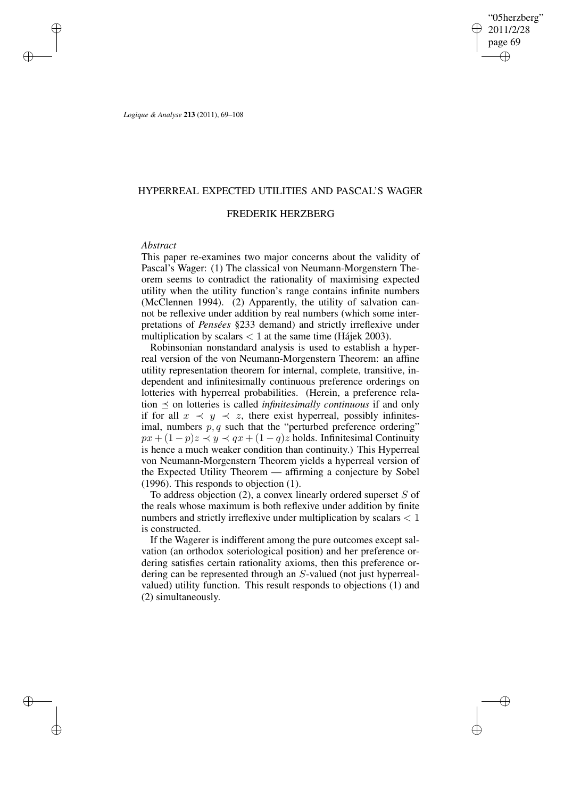"05herzberg" 2011/2/28 page 69 ✐ ✐

✐

✐

*Logique & Analyse* **213** (2011), 69–108

✐

✐

✐

✐

## HYPERREAL EXPECTED UTILITIES AND PASCAL'S WAGER

## FREDERIK HERZBERG

## *Abstract*

This paper re-examines two major concerns about the validity of Pascal's Wager: (1) The classical von Neumann-Morgenstern Theorem seems to contradict the rationality of maximising expected utility when the utility function's range contains infinite numbers (McClennen 1994). (2) Apparently, the utility of salvation cannot be reflexive under addition by real numbers (which some interpretations of *Pensées* §233 demand) and strictly irreflexive under multiplication by scalars  $< 1$  at the same time (Hájek 2003).

Robinsonian nonstandard analysis is used to establish a hyperreal version of the von Neumann-Morgenstern Theorem: an affine utility representation theorem for internal, complete, transitive, independent and infinitesimally continuous preference orderings on lotteries with hyperreal probabilities. (Herein, a preference relation  $\prec$  on lotteries is called *infinitesimally continuous* if and only if for all  $x \prec y \prec z$ , there exist hyperreal, possibly infinitesimal, numbers  $p, q$  such that the "perturbed preference ordering"  $px + (1 - p)z \leq y \leq qx + (1 - q)z$  holds. Infinitesimal Continuity is hence a much weaker condition than continuity.) This Hyperreal von Neumann-Morgenstern Theorem yields a hyperreal version of the Expected Utility Theorem — affirming a conjecture by Sobel (1996). This responds to objection (1).

To address objection  $(2)$ , a convex linearly ordered superset S of the reals whose maximum is both reflexive under addition by finite numbers and strictly irreflexive under multiplication by scalars < 1 is constructed.

If the Wagerer is indifferent among the pure outcomes except salvation (an orthodox soteriological position) and her preference ordering satisfies certain rationality axioms, then this preference ordering can be represented through an S-valued (not just hyperrealvalued) utility function. This result responds to objections (1) and (2) simultaneously.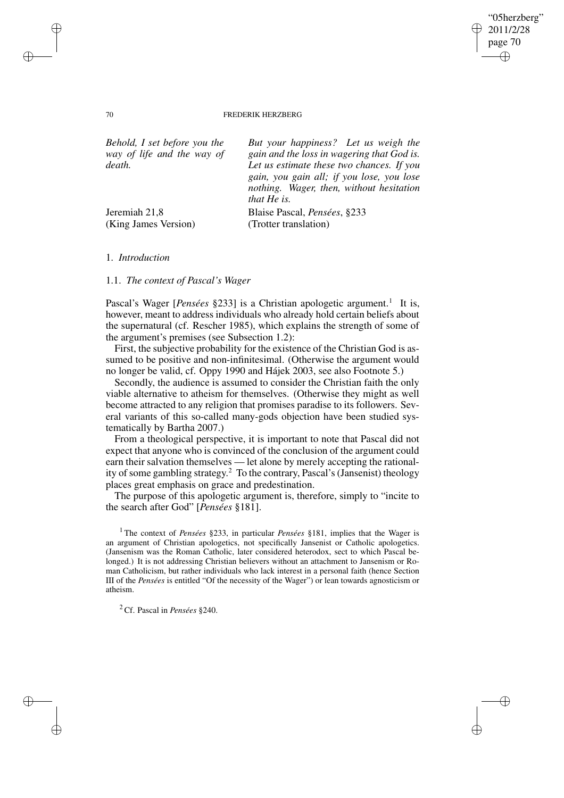#### 70 FREDERIK HERZBERG

"05herzberg" 2011/2/28 page 70

✐

✐

✐

✐

| Behold, I set before you the | But your happiness? Let us weigh the                                                                                                                     |  |
|------------------------------|----------------------------------------------------------------------------------------------------------------------------------------------------------|--|
| way of life and the way of   | gain and the loss in wagering that God is.                                                                                                               |  |
| death.                       | Let us estimate these two chances. If you<br>gain, you gain all; if you lose, you lose<br>nothing. Wager, then, without hesitation<br><i>that He is.</i> |  |
| Jeremiah 21,8                | Blaise Pascal, Pensées, §233                                                                                                                             |  |
| (King James Version)         | (Trotter translation)                                                                                                                                    |  |

1. *Introduction*

1.1. *The context of Pascal's Wager*

Pascal's Wager [Pensées §233] is a Christian apologetic argument.<sup>1</sup> It is, however, meant to address individuals who already hold certain beliefs about the supernatural (cf. Rescher 1985), which explains the strength of some of the argument's premises (see Subsection 1.2):

First, the subjective probability for the existence of the Christian God is assumed to be positive and non-infinitesimal. (Otherwise the argument would no longer be valid, cf. Oppy 1990 and Hájek 2003, see also Footnote 5.)

Secondly, the audience is assumed to consider the Christian faith the only viable alternative to atheism for themselves. (Otherwise they might as well become attracted to any religion that promises paradise to its followers. Several variants of this so-called many-gods objection have been studied systematically by Bartha 2007.)

From a theological perspective, it is important to note that Pascal did not expect that anyone who is convinced of the conclusion of the argument could earn their salvation themselves — let alone by merely accepting the rationality of some gambling strategy.<sup>2</sup> To the contrary, Pascal's (Jansenist) theology places great emphasis on grace and predestination.

The purpose of this apologetic argument is, therefore, simply to "incite to the search after God" [*Pensées* §181].

<sup>1</sup> The context of *Pensées* §233, in particular *Pensées* §181, implies that the Wager is an argument of Christian apologetics, not specifically Jansenist or Catholic apologetics. (Jansenism was the Roman Catholic, later considered heterodox, sect to which Pascal belonged.) It is not addressing Christian believers without an attachment to Jansenism or Roman Catholicism, but rather individuals who lack interest in a personal faith (hence Section III of the *Pensées* is entitled "Of the necessity of the Wager") or lean towards agnosticism or atheism.

<sup>2</sup> Cf. Pascal in *Pensées* §240.

✐

✐

✐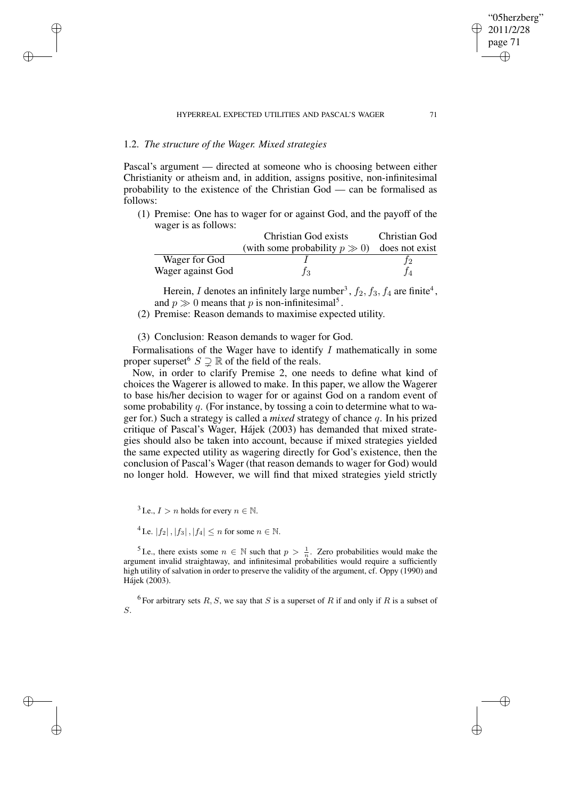# 1.2. *The structure of the Wager. Mixed strategies*

✐

✐

✐

✐

Pascal's argument — directed at someone who is choosing between either Christianity or atheism and, in addition, assigns positive, non-infinitesimal probability to the existence of the Christian God — can be formalised as follows:

(1) Premise: One has to wager for or against God, and the payoff of the wager is as follows:

|                   | Christian God exists               | Christian God  |
|-------------------|------------------------------------|----------------|
|                   | (with some probability $p \gg 0$ ) | does not exist |
| Wager for God     |                                    |                |
| Wager against God |                                    |                |

Herein, I denotes an infinitely large number<sup>3</sup>,  $f_2$ ,  $f_3$ ,  $f_4$  are finite<sup>4</sup>, and  $p \gg 0$  means that p is non-infinitesimal<sup>5</sup>.

(2) Premise: Reason demands to maximise expected utility.

# (3) Conclusion: Reason demands to wager for God.

Formalisations of the Wager have to identify  $I$  mathematically in some proper superset  $S \supseteq \mathbb{R}$  of the field of the reals.

Now, in order to clarify Premise 2, one needs to define what kind of choices the Wagerer is allowed to make. In this paper, we allow the Wagerer to base his/her decision to wager for or against God on a random event of some probability q. (For instance, by tossing a coin to determine what to wager for.) Such a strategy is called a *mixed* strategy of chance q. In his prized critique of Pascal's Wager, Hájek (2003) has demanded that mixed strategies should also be taken into account, because if mixed strategies yielded the same expected utility as wagering directly for God's existence, then the conclusion of Pascal's Wager (that reason demands to wager for God) would no longer hold. However, we will find that mixed strategies yield strictly

<sup>3</sup> I.e.,  $I > n$  holds for every  $n \in \mathbb{N}$ .

<sup>4</sup> I.e.  $|f_2|$ ,  $|f_3|$ ,  $|f_4| \leq n$  for some  $n \in \mathbb{N}$ .

<sup>5</sup> I.e., there exists some  $n \in \mathbb{N}$  such that  $p > \frac{1}{n}$ . Zero probabilities would make the argument invalid straightaway, and infinitesimal probabilities would require a sufficiently high utility of salvation in order to preserve the validity of the argument, cf. Oppy (1990) and Hájek (2003).

<sup>6</sup> For arbitrary sets R, S, we say that S is a superset of R if and only if R is a subset of S.

"05herzberg" 2011/2/28 page 71

✐

✐

✐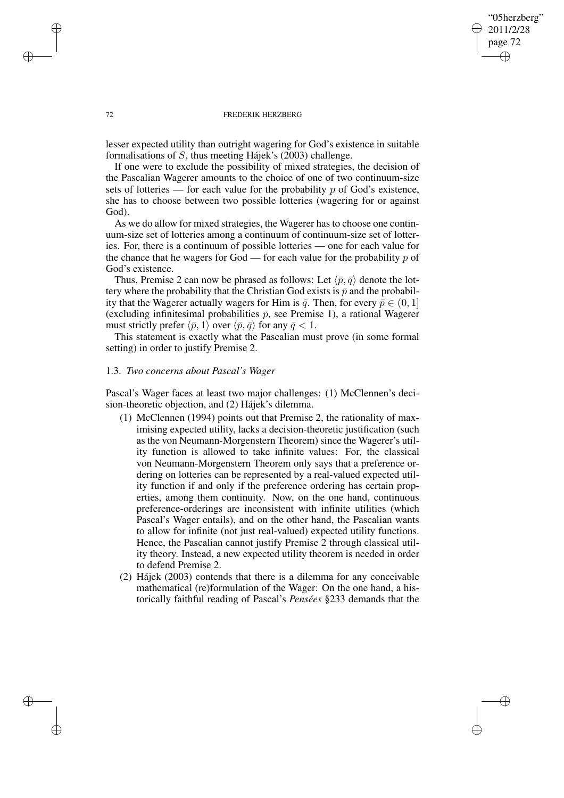# "05herzberg" 2011/2/28 page 72 ✐ ✐

✐

✐

#### 72 FREDERIK HERZBERG

lesser expected utility than outright wagering for God's existence in suitable formalisations of S, thus meeting Hájek's (2003) challenge.

If one were to exclude the possibility of mixed strategies, the decision of the Pascalian Wagerer amounts to the choice of one of two continuum-size sets of lotteries — for each value for the probability  $p$  of God's existence, she has to choose between two possible lotteries (wagering for or against God).

As we do allow for mixed strategies, the Wagerer has to choose one continuum-size set of lotteries among a continuum of continuum-size set of lotteries. For, there is a continuum of possible lotteries — one for each value for the chance that he wagers for God — for each value for the probability  $p$  of God's existence.

Thus, Premise 2 can now be phrased as follows: Let  $\langle \bar{p}, \bar{q} \rangle$  denote the lottery where the probability that the Christian God exists is  $\bar{p}$  and the probability that the Wagerer actually wagers for Him is  $\bar{q}$ . Then, for every  $\bar{p} \in (0, 1]$ (excluding infinitesimal probabilities  $\bar{p}$ , see Premise 1), a rational Wagerer must strictly prefer  $\langle \bar{p}, 1 \rangle$  over  $\langle \bar{p}, \bar{q} \rangle$  for any  $\bar{q} < 1$ .

This statement is exactly what the Pascalian must prove (in some formal setting) in order to justify Premise 2.

## 1.3. *Two concerns about Pascal's Wager*

Pascal's Wager faces at least two major challenges: (1) McClennen's decision-theoretic objection, and (2) Hájek's dilemma.

- (1) McClennen (1994) points out that Premise 2, the rationality of maximising expected utility, lacks a decision-theoretic justification (such as the von Neumann-Morgenstern Theorem) since the Wagerer's utility function is allowed to take infinite values: For, the classical von Neumann-Morgenstern Theorem only says that a preference ordering on lotteries can be represented by a real-valued expected utility function if and only if the preference ordering has certain properties, among them continuity. Now, on the one hand, continuous preference-orderings are inconsistent with infinite utilities (which Pascal's Wager entails), and on the other hand, the Pascalian wants to allow for infinite (not just real-valued) expected utility functions. Hence, the Pascalian cannot justify Premise 2 through classical utility theory. Instead, a new expected utility theorem is needed in order to defend Premise 2.
- (2) Hájek (2003) contends that there is a dilemma for any conceivable mathematical (re)formulation of the Wager: On the one hand, a historically faithful reading of Pascal's *Pensées* §233 demands that the

✐

✐

✐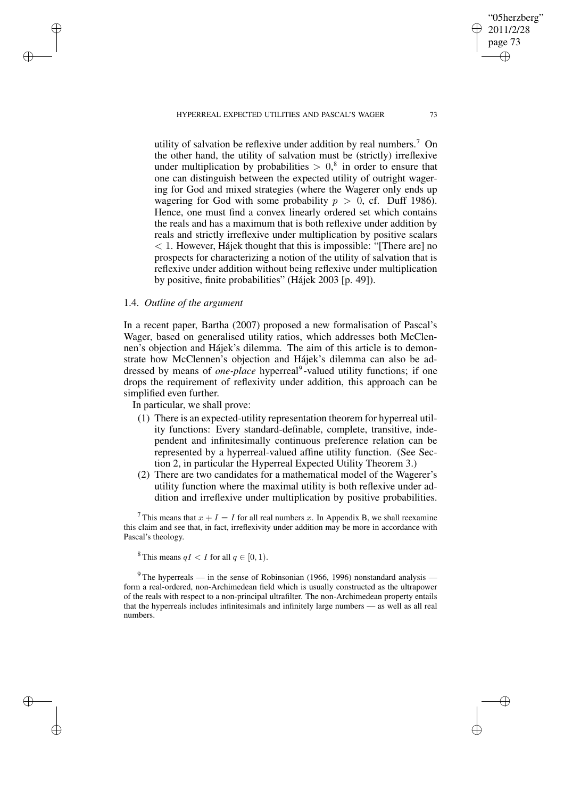HYPERREAL EXPECTED UTILITIES AND PASCAL'S WAGER 73

utility of salvation be reflexive under addition by real numbers.<sup>7</sup> On the other hand, the utility of salvation must be (strictly) irreflexive under multiplication by probabilities  $> 0$ ,<sup>8</sup> in order to ensure that one can distinguish between the expected utility of outright wagering for God and mixed strategies (where the Wagerer only ends up wagering for God with some probability  $p > 0$ , cf. Duff 1986). Hence, one must find a convex linearly ordered set which contains the reals and has a maximum that is both reflexive under addition by reals and strictly irreflexive under multiplication by positive scalars < 1. However, Hájek thought that this is impossible: "[There are] no prospects for characterizing a notion of the utility of salvation that is reflexive under addition without being reflexive under multiplication by positive, finite probabilities" (Hájek 2003 [p. 49]).

## 1.4. *Outline of the argument*

✐

✐

✐

✐

In a recent paper, Bartha (2007) proposed a new formalisation of Pascal's Wager, based on generalised utility ratios, which addresses both McClennen's objection and Hájek's dilemma. The aim of this article is to demonstrate how McClennen's objection and Hájek's dilemma can also be addressed by means of *one-place* hyperreal<sup>9</sup>-valued utility functions; if one drops the requirement of reflexivity under addition, this approach can be simplified even further.

In particular, we shall prove:

- (1) There is an expected-utility representation theorem for hyperreal utility functions: Every standard-definable, complete, transitive, independent and infinitesimally continuous preference relation can be represented by a hyperreal-valued affine utility function. (See Section 2, in particular the Hyperreal Expected Utility Theorem 3.)
- (2) There are two candidates for a mathematical model of the Wagerer's utility function where the maximal utility is both reflexive under addition and irreflexive under multiplication by positive probabilities.

This means that  $x + I = I$  for all real numbers x. In Appendix B, we shall reexamine this claim and see that, in fact, irreflexivity under addition may be more in accordance with Pascal's theology.

<sup>8</sup> This means  $qI < I$  for all  $q \in [0, 1)$ .

 $9$ The hyperreals — in the sense of Robinsonian (1966, 1996) nonstandard analysis form a real-ordered, non-Archimedean field which is usually constructed as the ultrapower of the reals with respect to a non-principal ultrafilter. The non-Archimedean property entails that the hyperreals includes infinitesimals and infinitely large numbers — as well as all real numbers.

"05herzberg" 2011/2/28 page 73

✐

✐

✐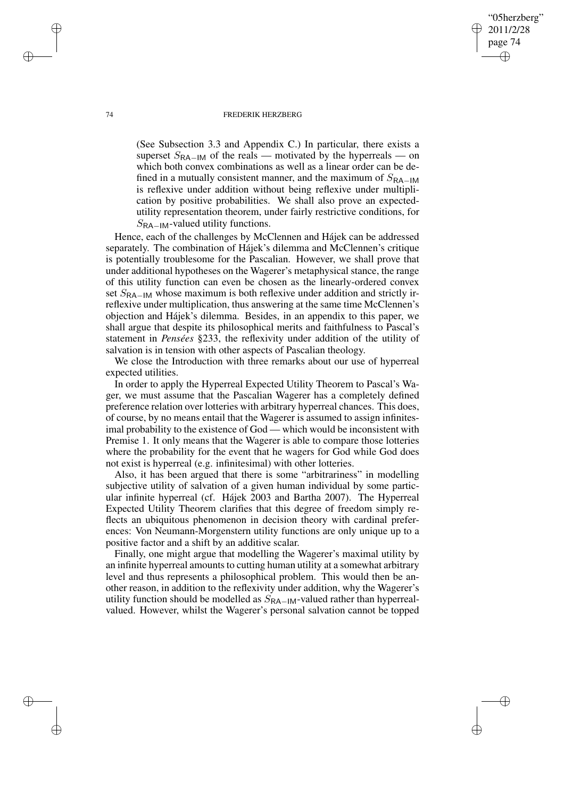#### 74 FREDERIK HERZBERG

(See Subsection 3.3 and Appendix C.) In particular, there exists a superset  $S_{\text{RA}-\text{IM}}$  of the reals — motivated by the hyperreals — on which both convex combinations as well as a linear order can be defined in a mutually consistent manner, and the maximum of  $S_{\text{RA}-\text{IM}}$ is reflexive under addition without being reflexive under multiplication by positive probabilities. We shall also prove an expectedutility representation theorem, under fairly restrictive conditions, for  $S_{\text{RA}-\text{IM}}$ -valued utility functions.

"05herzberg" 2011/2/28 page 74

✐

✐

✐

✐

Hence, each of the challenges by McClennen and Hájek can be addressed separately. The combination of Hájek's dilemma and McClennen's critique is potentially troublesome for the Pascalian. However, we shall prove that under additional hypotheses on the Wagerer's metaphysical stance, the range of this utility function can even be chosen as the linearly-ordered convex set  $S_{\text{RA}-\text{IM}}$  whose maximum is both reflexive under addition and strictly irreflexive under multiplication, thus answering at the same time McClennen's objection and Hájek's dilemma. Besides, in an appendix to this paper, we shall argue that despite its philosophical merits and faithfulness to Pascal's statement in *Pensées* §233, the reflexivity under addition of the utility of salvation is in tension with other aspects of Pascalian theology.

We close the Introduction with three remarks about our use of hyperreal expected utilities.

In order to apply the Hyperreal Expected Utility Theorem to Pascal's Wager, we must assume that the Pascalian Wagerer has a completely defined preference relation over lotteries with arbitrary hyperreal chances. This does, of course, by no means entail that the Wagerer is assumed to assign infinitesimal probability to the existence of God — which would be inconsistent with Premise 1. It only means that the Wagerer is able to compare those lotteries where the probability for the event that he wagers for God while God does not exist is hyperreal (e.g. infinitesimal) with other lotteries.

Also, it has been argued that there is some "arbitrariness" in modelling subjective utility of salvation of a given human individual by some particular infinite hyperreal (cf. Hájek 2003 and Bartha 2007). The Hyperreal Expected Utility Theorem clarifies that this degree of freedom simply reflects an ubiquitous phenomenon in decision theory with cardinal preferences: Von Neumann-Morgenstern utility functions are only unique up to a positive factor and a shift by an additive scalar.

Finally, one might argue that modelling the Wagerer's maximal utility by an infinite hyperreal amounts to cutting human utility at a somewhat arbitrary level and thus represents a philosophical problem. This would then be another reason, in addition to the reflexivity under addition, why the Wagerer's utility function should be modelled as  $S_{\text{RA}-\text{IM}}$ -valued rather than hyperrealvalued. However, whilst the Wagerer's personal salvation cannot be topped

✐

✐

✐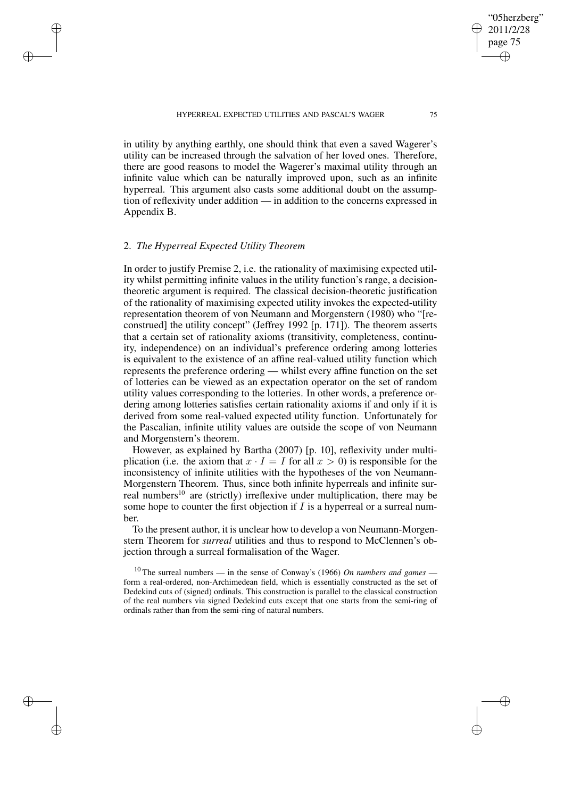HYPERREAL EXPECTED UTILITIES AND PASCAL'S WAGER 75

in utility by anything earthly, one should think that even a saved Wagerer's utility can be increased through the salvation of her loved ones. Therefore, there are good reasons to model the Wagerer's maximal utility through an infinite value which can be naturally improved upon, such as an infinite hyperreal. This argument also casts some additional doubt on the assumption of reflexivity under addition — in addition to the concerns expressed in Appendix B.

# 2. *The Hyperreal Expected Utility Theorem*

✐

✐

✐

✐

In order to justify Premise 2, i.e. the rationality of maximising expected utility whilst permitting infinite values in the utility function's range, a decisiontheoretic argument is required. The classical decision-theoretic justification of the rationality of maximising expected utility invokes the expected-utility representation theorem of von Neumann and Morgenstern (1980) who "[reconstrued] the utility concept" (Jeffrey 1992 [p. 171]). The theorem asserts that a certain set of rationality axioms (transitivity, completeness, continuity, independence) on an individual's preference ordering among lotteries is equivalent to the existence of an affine real-valued utility function which represents the preference ordering — whilst every affine function on the set of lotteries can be viewed as an expectation operator on the set of random utility values corresponding to the lotteries. In other words, a preference ordering among lotteries satisfies certain rationality axioms if and only if it is derived from some real-valued expected utility function. Unfortunately for the Pascalian, infinite utility values are outside the scope of von Neumann and Morgenstern's theorem.

However, as explained by Bartha (2007) [p. 10], reflexivity under multiplication (i.e. the axiom that  $x \cdot I = I$  for all  $x > 0$ ) is responsible for the inconsistency of infinite utilities with the hypotheses of the von Neumann-Morgenstern Theorem. Thus, since both infinite hyperreals and infinite surreal numbers<sup>10</sup> are (strictly) irreflexive under multiplication, there may be some hope to counter the first objection if  $I$  is a hyperreal or a surreal number.

To the present author, it is unclear how to develop a von Neumann-Morgenstern Theorem for *surreal* utilities and thus to respond to McClennen's objection through a surreal formalisation of the Wager.

<sup>10</sup> The surreal numbers — in the sense of Conway's (1966) *On numbers and games* form a real-ordered, non-Archimedean field, which is essentially constructed as the set of Dedekind cuts of (signed) ordinals. This construction is parallel to the classical construction of the real numbers via signed Dedekind cuts except that one starts from the semi-ring of ordinals rather than from the semi-ring of natural numbers.

"05herzberg" 2011/2/28 page 75

✐

✐

✐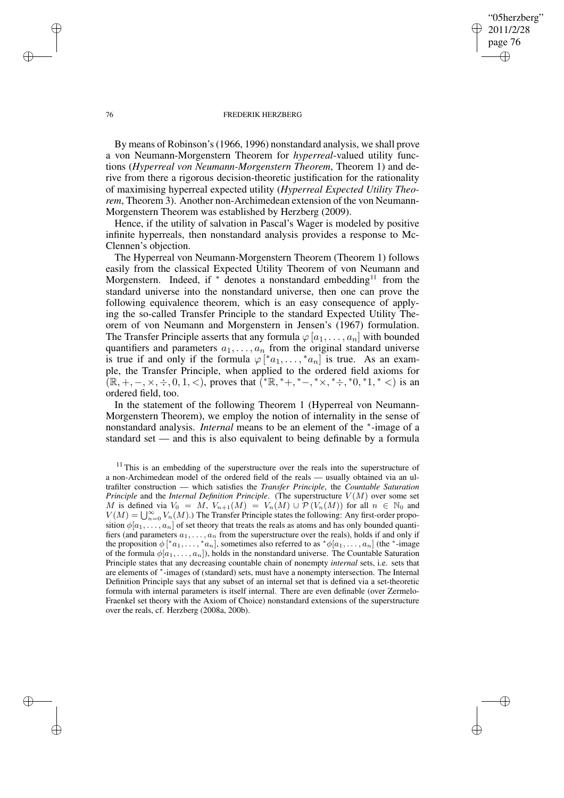#### 76 FREDERIK HERZBERG

"05herzberg" 2011/2/28 page 76

✐

✐

✐

✐

By means of Robinson's(1966, 1996) nonstandard analysis, we shall prove a von Neumann-Morgenstern Theorem for *hyperreal*-valued utility functions (*Hyperreal von Neumann-Morgenstern Theorem*, Theorem 1) and derive from there a rigorous decision-theoretic justification for the rationality of maximising hyperreal expected utility (*Hyperreal Expected Utility Theorem*, Theorem 3). Another non-Archimedean extension of the von Neumann-Morgenstern Theorem was established by Herzberg (2009).

Hence, if the utility of salvation in Pascal's Wager is modeled by positive infinite hyperreals, then nonstandard analysis provides a response to Mc-Clennen's objection.

The Hyperreal von Neumann-Morgenstern Theorem (Theorem 1) follows easily from the classical Expected Utility Theorem of von Neumann and Morgenstern. Indeed, if  $*$  denotes a nonstandard embedding<sup>11</sup> from the standard universe into the nonstandard universe, then one can prove the following equivalence theorem, which is an easy consequence of applying the so-called Transfer Principle to the standard Expected Utility Theorem of von Neumann and Morgenstern in Jensen's (1967) formulation. The Transfer Principle asserts that any formula  $\varphi[a_1,\ldots,a_n]$  with bounded quantifiers and parameters  $a_1, \ldots, a_n$  from the original standard universe is true if and only if the formula  $\varphi[^*a_1,\ldots,^*a_n]$  is true. As an example, the Transfer Principle, when applied to the ordered field axioms for  $(\mathbb{R}, +, -, \times, \div, 0, 1, <)$ , proves that  $(\mathbb{R}, +, -, +\times, \mathbb{R}, \div, 0, 1, <)$  is an ordered field, too.

In the statement of the following Theorem 1 (Hyperreal von Neumann-Morgenstern Theorem), we employ the notion of internality in the sense of nonstandard analysis. *Internal* means to be an element of the <sup>∗</sup> -image of a standard set — and this is also equivalent to being definable by a formula

✐

✐

✐

<sup>&</sup>lt;sup>11</sup> This is an embedding of the superstructure over the reals into the superstructure of a non-Archimedean model of the ordered field of the reals — usually obtained via an ultrafilter construction — which satisfies the *Transfer Principle*, the *Countable Saturation Principle* and the *Internal Definition Principle*. (The superstructure  $V(M)$  over some set M is defined via  $V_0 = M$ ,  $V_{n+1}(M) = V_n(M) \cup \mathcal{P}(V_n(M))$  for all  $n \in \mathbb{N}_0$  and  $V(M) = \bigcup_{n=0}^{\infty} V_n(M)$ .) The Transfer Principle states the following: Any first-order proposition  $\phi[a_1, \ldots, a_n]$  of set theory that treats the reals as atoms and has only bounded quantifiers (and parameters  $a_1, \ldots, a_n$  from the superstructure over the reals), holds if and only if the proposition  $\phi[^*a_1, \ldots, *a_n]$ , sometimes also referred to as  $*\phi[a_1, \ldots, a_n]$  (the \*-image of the formula  $\phi[a_1, \ldots, a_n]$ ), holds in the nonstandard universe. The Countable Saturation Principle states that any decreasing countable chain of nonempty *internal* sets, i.e. sets that are elements of \*-images of (standard) sets, must have a nonempty intersection. The Internal Definition Principle says that any subset of an internal set that is defined via a set-theoretic formula with internal parameters is itself internal. There are even definable (over Zermelo-Fraenkel set theory with the Axiom of Choice) nonstandard extensions of the superstructure over the reals, cf. Herzberg (2008a, 200b).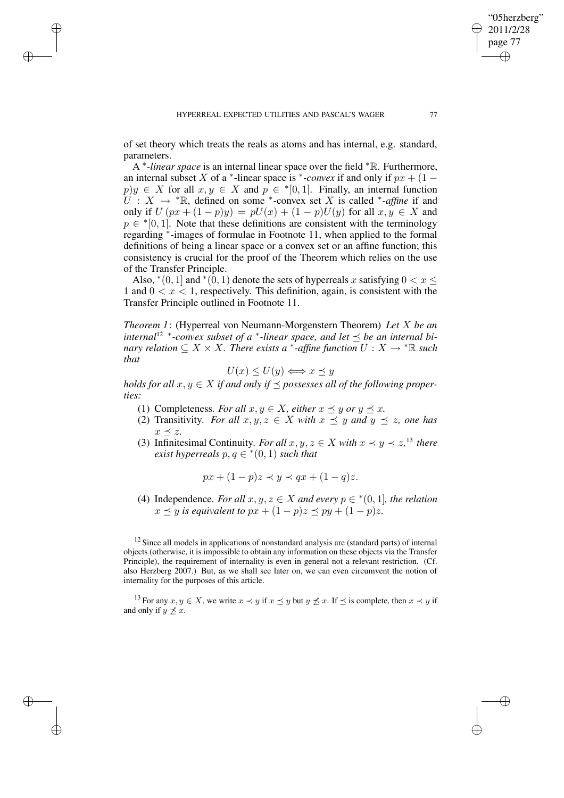✐

✐

✐

of set theory which treats the reals as atoms and has internal, e.g. standard, parameters.

A ∗ *-linear space* is an internal linear space over the field <sup>∗</sup>R. Furthermore, an internal subset X of a \*-linear space is \*-*convex* if and only if  $px + (1$  $p)y \in X$  for all  $x, y \in X$  and  $p \in \{0, 1\}$ . Finally, an internal function  $U$  :  $X \rightarrow$  \*R, defined on some \*-convex set X is called \*-*affine* if and only if  $U(px + (1 - p)y) = pU(x) + (1 - p)U(y)$  for all  $x, y \in X$  and  $p \in \{0, 1\}$ . Note that these definitions are consistent with the terminology regarding <sup>∗</sup> -images of formulae in Footnote 11, when applied to the formal definitions of being a linear space or a convex set or an affine function; this consistency is crucial for the proof of the Theorem which relies on the use of the Transfer Principle.

Also,  $*(0, 1]$  and  $*(0, 1)$  denote the sets of hyperreals x satisfying  $0 < x \le$ 1 and  $0 < x < 1$ , respectively. This definition, again, is consistent with the Transfer Principle outlined in Footnote 11.

*Theorem 1*: (Hyperreal von Neumann-Morgenstern Theorem) *Let* X *be an*  $\frac{1}{2}$  <sup>2</sup> \* -convex subset of a \* -linear space, and let  $\preceq$  be an internal bi*nary relation*  $\subseteq X \times X$ *. There exists a*  $*$ -affine function  $U : X \to * \mathbb{R}$  such *that*

$$
U(x) \le U(y) \Longleftrightarrow x \preceq y
$$

*holds for all*  $x, y \in X$  *if and only if*  $\preceq$  *possesses all of the following properties:*

- (1) Completeness. For all  $x, y \in X$ , either  $x \preceq y$  or  $y \preceq x$ .
- (2) Transitivity. For all  $x, y, z \in X$  with  $x \preceq y$  and  $y \preceq z$ , one has  $x \preceq z$ .
- (3) Infinitesimal Continuity. *For all*  $x, y, z \in X$  *with*  $x \prec y \prec z$ ,<sup>13</sup> *there*  $\vec{p}$  *exist* hyperreals  $p, q \in \{(0, 1) \}$  *such that*

$$
px + (1 - p)z \prec y \prec qx + (1 - q)z.
$$

(4) Independence. For all  $x, y, z \in X$  and every  $p \in {}^*(0,1]$ , the relation  $x \prec y$  *is equivalent to*  $px + (1 - p)z \prec py + (1 - p)z$ .

 $12$  Since all models in applications of nonstandard analysis are (standard parts) of internal objects (otherwise, it is impossible to obtain any information on these objects via the Transfer Principle), the requirement of internality is even in general not a relevant restriction. (Cf. also Herzberg 2007.) But, as we shall see later on, we can even circumvent the notion of internality for the purposes of this article.

<sup>13</sup> For any  $x, y \in X$ , we write  $x \prec y$  if  $x \preceq y$  but  $y \not\preceq x$ . If  $\preceq$  is complete, then  $x \prec y$  if and only if  $y \nless x$ .

"05herzberg" 2011/2/28 page 77

✐

✐

✐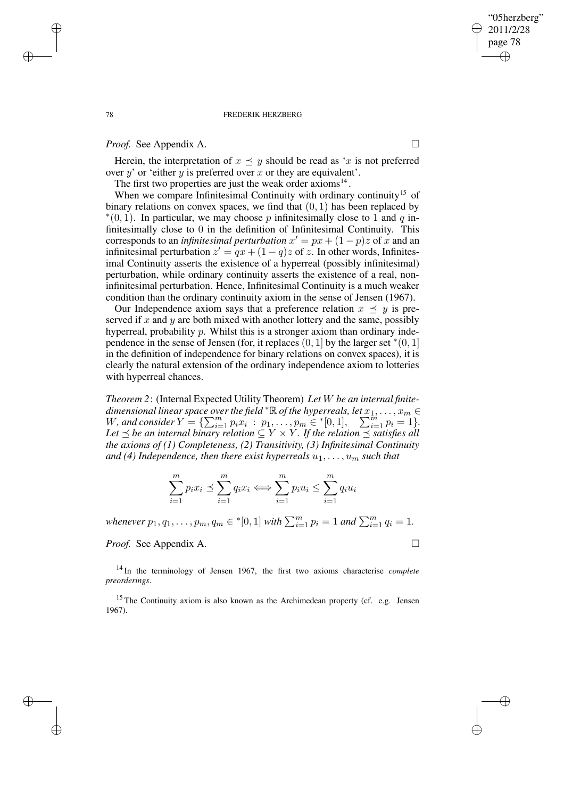### 78 FREDERIK HERZBERG

# *Proof.* See Appendix A. □

Herein, the interpretation of  $x \preceq y$  should be read as 'x is not preferred over  $y'$  or 'either  $y$  is preferred over  $x$  or they are equivalent'.

The first two properties are just the weak order  $axioms<sup>14</sup>$ .

When we compare Infinitesimal Continuity with ordinary continuity<sup>15</sup> of binary relations on convex spaces, we find that  $(0, 1)$  has been replaced by  $*(0, 1)$ . In particular, we may choose p infinitesimally close to 1 and q infinitesimally close to 0 in the definition of Infinitesimal Continuity. This corresponds to an *infinitesimal perturbation*  $x' = px + (1 - p)z$  of x and an infinitesimal perturbation  $z' = qx + (1 - q)z$  of z. In other words, Infinitesimal Continuity asserts the existence of a hyperreal (possibly infinitesimal) perturbation, while ordinary continuity asserts the existence of a real, noninfinitesimal perturbation. Hence, Infinitesimal Continuity is a much weaker condition than the ordinary continuity axiom in the sense of Jensen (1967).

Our Independence axiom says that a preference relation  $x \preceq y$  is preserved if  $x$  and  $y$  are both mixed with another lottery and the same, possibly hyperreal, probability p. Whilst this is a stronger axiom than ordinary independence in the sense of Jensen (for, it replaces  $(0, 1]$  by the larger set \* $(0, 1]$ in the definition of independence for binary relations on convex spaces), it is clearly the natural extension of the ordinary independence axiom to lotteries with hyperreal chances.

*Theorem 2*: (Internal Expected Utility Theorem) *Let* W *be an internal finite* $d$ imensional linear space over the field  $^*{\mathbb R}$  of the hyperreals, let  $x_1,\ldots,x_m\in$  $W$ , and consider  $Y = \{ \sum_{i=1}^{m} p_i x_i : p_1, \ldots, p_m \in {}^{*}[0,1], \sum_{i=1}^{m} p_i = 1 \}.$  $Let  $\leq$  *be* an internal binary relation  $\subseteq Y \times Y$ . If the relation  $\preceq$  satisfies all$ *the axioms of (1) Completeness, (2) Transitivity, (3) Infinitesimal Continuity and* (4) *Independence, then there exist hyperreals*  $u_1, \ldots, u_m$  *such that* 

$$
\sum_{i=1}^{m} p_i x_i \preceq \sum_{i=1}^{m} q_i x_i \Longleftrightarrow \sum_{i=1}^{m} p_i u_i \le \sum_{i=1}^{m} q_i u_i
$$

*whenever*  $p_1, q_1, \ldots, p_m, q_m \in \{[0, 1] \text{ with } \sum_{i=1}^m p_i = 1 \text{ and } \sum_{i=1}^m q_i = 1.$ 

*Proof.* See Appendix A. □

✐

✐

<sup>14</sup> In the terminology of Jensen 1967, the first two axioms characterise *complete preorderings*.

<sup>15</sup> The Continuity axiom is also known as the Archimedean property (cf. e.g. Jensen 1967).

✐

✐

✐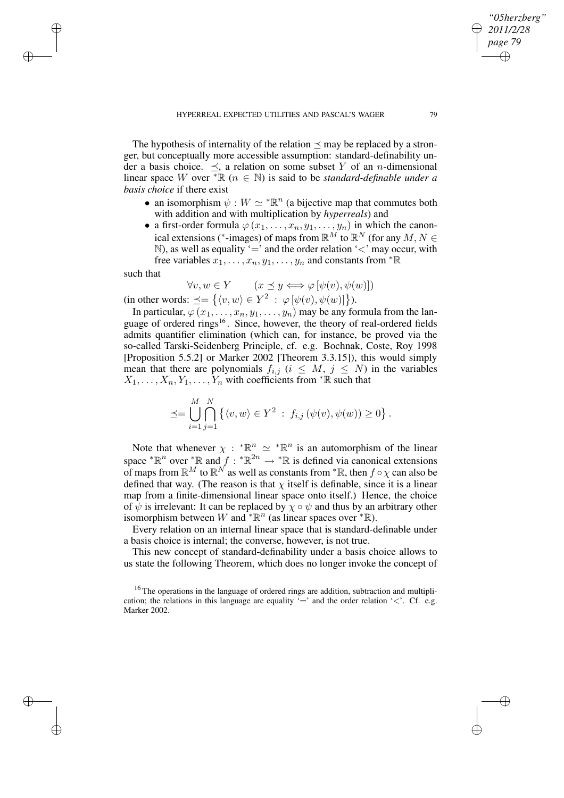The hypothesis of internality of the relation  $\prec$  may be replaced by a stronger, but conceptually more accessible assumption: standard-definability under a basis choice.  $\prec$ , a relation on some subset Y of an *n*-dimensional linear space W over  ${}^* \mathbb{R}$  ( $n \in \mathbb{N}$ ) is said to be *standard-definable under a basis choice* if there exist

- an isomorphism  $\psi : W \simeq {}^* \mathbb{R}^n$  (a bijective map that commutes both with addition and with multiplication by *hyperreals*) and
- a first-order formula  $\varphi(x_1, \ldots, x_n, y_1, \ldots, y_n)$  in which the canonical extensions (\*-images) of maps from  $\mathbb{R}^M$  to  $\mathbb{R}^N$  (for any  $M, N \in$  $\mathbb{N}$ ), as well as equality '=' and the order relation '<' may occur, with free variables  $x_1, \ldots, x_n, y_1, \ldots, y_n$  and constants from  ${}^*\mathbb{R}$

such that

✐

✐

✐

✐

$$
\forall v, w \in Y \qquad (x \le y \iff \varphi \left[ \psi(v), \psi(w) \right])
$$

(in other words:  $\preceq = \{ \langle v, w \rangle \in Y^2 : \varphi[\psi(v), \psi(w)] \}$ ).

In particular,  $\varphi(x_1,\ldots,x_n,y_1,\ldots,y_n)$  may be any formula from the language of ordered rings<sup>16</sup>. Since, however, the theory of real-ordered fields admits quantifier elimination (which can, for instance, be proved via the so-called Tarski-Seidenberg Principle, cf. e.g. Bochnak, Coste, Roy 1998 [Proposition 5.5.2] or Marker 2002 [Theorem 3.3.15]), this would simply mean that there are polynomials  $f_{i,j}$  ( $i \leq M, j \leq N$ ) in the variables  $X_1, \ldots, X_n, Y_1, \ldots, Y_n$  with coefficients from  ${}^*\mathbb{R}$  such that

$$
\preceq = \bigcup_{i=1}^{M} \bigcap_{j=1}^{N} \left\{ \langle v, w \rangle \in Y^2 : f_{i,j} \left( \psi(v), \psi(w) \right) \geq 0 \right\}.
$$

Note that whenever  $\chi : {}^{\ast} \mathbb{R}^n \simeq {}^{\ast} \mathbb{R}^n$  is an automorphism of the linear space  ${}^*\mathbb{R}^n$  over  ${}^*\mathbb{R}$  and  $f : {}^*\mathbb{R}^{2n} \to {}^*\mathbb{R}$  is defined via canonical extensions of maps from  $\mathbb{R}^M$  to  $\mathbb{R}^N$  as well as constants from  ${}^*\mathbb{R}$ , then  $f \circ \chi$  can also be defined that way. (The reason is that  $\chi$  itself is definable, since it is a linear map from a finite-dimensional linear space onto itself.) Hence, the choice of  $\psi$  is irrelevant: It can be replaced by  $\chi \circ \psi$  and thus by an arbitrary other isomorphism between W and \* $\mathbb{R}^n$  (as linear spaces over \* $\mathbb{R}$ ).

Every relation on an internal linear space that is standard-definable under a basis choice is internal; the converse, however, is not true.

This new concept of standard-definability under a basis choice allows to us state the following Theorem, which does no longer invoke the concept of

*"05herzberg" 2011/2/28 page 79*

✐

✐

✐

<sup>&</sup>lt;sup>16</sup> The operations in the language of ordered rings are addition, subtraction and multiplication; the relations in this language are equality  $=$  and the order relation ' $\lt$ '. Cf. e.g. Marker 2002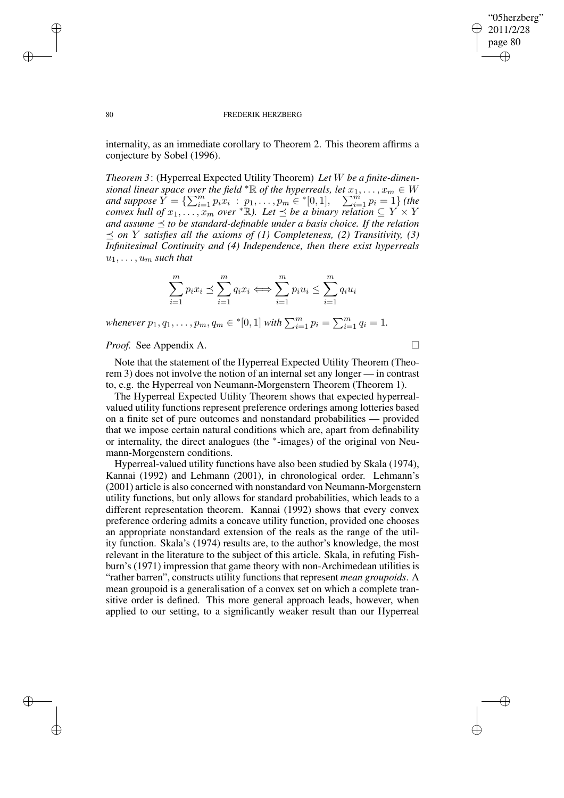✐

#### 80 FREDERIK HERZBERG

internality, as an immediate corollary to Theorem 2. This theorem affirms a conjecture by Sobel (1996).

*Theorem 3*: (Hyperreal Expected Utility Theorem) *Let* W *be a finite-dimensional linear space over the field*  $* \mathbb{R}$  *of the hyperreals, let*  $x_1, \ldots, x_m \in W$ *and* suppose  $Y = \{ \sum_{i=1}^{m} p_i x_i : p_1, \ldots, p_m \in \{0, 1\}, \sum_{i=1}^{m} p_i = 1 \}$  (the *convex hull of*  $x_1, \ldots, x_m$  *over*  $* \mathbb{R}$ *).* Let  $\preceq$  be a binary relation  $\subseteq Y \times Y$ *and*  $\text{assume} \leq \text{to be standard-defined.}$  *definable under a basis choice.* If the *relation*  $\leq$  *on Y satisfies all the axioms of* (1) *Completeness,* (2) *Transitivity,* (3) *Infinitesimal Continuity and (4) Independence, then there exist hyperreals*  $u_1, \ldots, u_m$  *such that* 

$$
\sum_{i=1}^{m} p_i x_i \preceq \sum_{i=1}^{m} q_i x_i \Longleftrightarrow \sum_{i=1}^{m} p_i u_i \le \sum_{i=1}^{m} q_i u_i
$$

*whenever*  $p_1, q_1, \ldots, p_m, q_m \in \{0, 1\}$  *with*  $\sum_{i=1}^m p_i = \sum_{i=1}^m q_i = 1$ .

## *Proof.* See Appendix A. □

Note that the statement of the Hyperreal Expected Utility Theorem (Theorem 3) does not involve the notion of an internal set any longer — in contrast to, e.g. the Hyperreal von Neumann-Morgenstern Theorem (Theorem 1).

The Hyperreal Expected Utility Theorem shows that expected hyperrealvalued utility functions represent preference orderings among lotteries based on a finite set of pure outcomes and nonstandard probabilities — provided that we impose certain natural conditions which are, apart from definability or internality, the direct analogues (the <sup>∗</sup> -images) of the original von Neumann-Morgenstern conditions.

Hyperreal-valued utility functions have also been studied by Skala (1974), Kannai (1992) and Lehmann (2001), in chronological order. Lehmann's (2001) article is also concerned with nonstandard von Neumann-Morgenstern utility functions, but only allows for standard probabilities, which leads to a different representation theorem. Kannai (1992) shows that every convex preference ordering admits a concave utility function, provided one chooses an appropriate nonstandard extension of the reals as the range of the utility function. Skala's (1974) results are, to the author's knowledge, the most relevant in the literature to the subject of this article. Skala, in refuting Fishburn's (1971) impression that game theory with non-Archimedean utilities is "rather barren", constructs utility functionsthat represent *mean groupoids*. A mean groupoid is a generalisation of a convex set on which a complete transitive order is defined. This more general approach leads, however, when applied to our setting, to a significantly weaker result than our Hyperreal

✐

✐

✐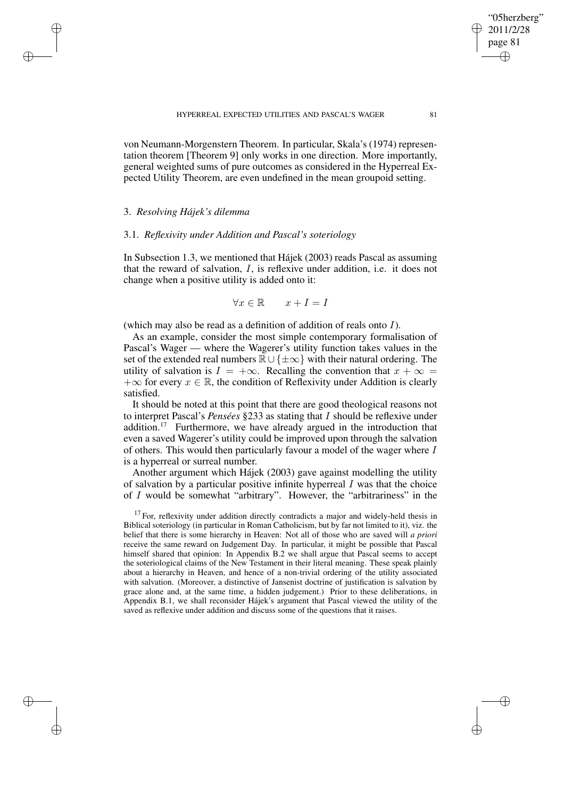von Neumann-Morgenstern Theorem. In particular, Skala's (1974) representation theorem [Theorem 9] only works in one direction. More importantly, general weighted sums of pure outcomes as considered in the Hyperreal Expected Utility Theorem, are even undefined in the mean groupoid setting.

# 3. *Resolving Hájek's dilemma*

✐

✐

✐

✐

## 3.1. *Reflexivity under Addition and Pascal's soteriology*

In Subsection 1.3, we mentioned that Hájek (2003) reads Pascal as assuming that the reward of salvation, I, is reflexive under addition, i.e. it does not change when a positive utility is added onto it:

$$
\forall x \in \mathbb{R} \qquad x + I = I
$$

(which may also be read as a definition of addition of reals onto I).

As an example, consider the most simple contemporary formalisation of Pascal's Wager — where the Wagerer's utility function takes values in the set of the extended real numbers  $\mathbb{R} \cup {\pm \infty}$  with their natural ordering. The utility of salvation is  $I = +\infty$ . Recalling the convention that  $x + \infty$  $+\infty$  for every  $x \in \mathbb{R}$ , the condition of Reflexivity under Addition is clearly satisfied.

It should be noted at this point that there are good theological reasons not to interpret Pascal's *Pensées* §233 as stating that I should be reflexive under addition.<sup>17</sup> Furthermore, we have already argued in the introduction that even a saved Wagerer's utility could be improved upon through the salvation of others. This would then particularly favour a model of the wager where I is a hyperreal or surreal number.

Another argument which Hájek (2003) gave against modelling the utility of salvation by a particular positive infinite hyperreal  $I$  was that the choice of I would be somewhat "arbitrary". However, the "arbitrariness" in the

 $17$  For, reflexivity under addition directly contradicts a major and widely-held thesis in Biblical soteriology (in particular in Roman Catholicism, but by far not limited to it), viz. the belief that there is some hierarchy in Heaven: Not all of those who are saved will *a priori* receive the same reward on Judgement Day. In particular, it might be possible that Pascal himself shared that opinion: In Appendix B.2 we shall argue that Pascal seems to accept the soteriological claims of the New Testament in their literal meaning. These speak plainly about a hierarchy in Heaven, and hence of a non-trivial ordering of the utility associated with salvation. (Moreover, a distinctive of Jansenist doctrine of justification is salvation by grace alone and, at the same time, a hidden judgement.) Prior to these deliberations, in Appendix B.1, we shall reconsider Hájek's argument that Pascal viewed the utility of the saved as reflexive under addition and discuss some of the questions that it raises.

"05herzberg" 2011/2/28 page 81

✐

✐

✐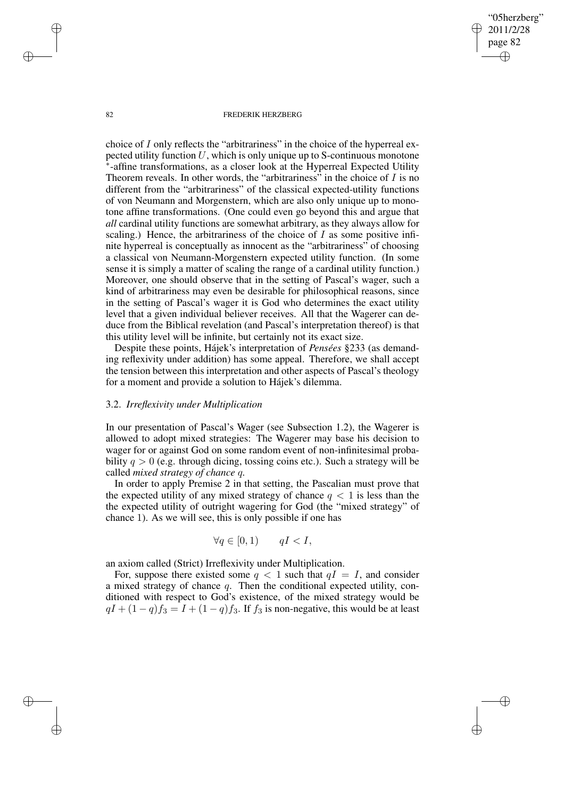"05herzberg" 2011/2/28 page 82 ✐ ✐

✐

✐

#### 82 FREDERIK HERZBERG

choice of I only reflects the "arbitrariness" in the choice of the hyperreal expected utility function  $U$ , which is only unique up to S-continuous monotone ∗ -affine transformations, as a closer look at the Hyperreal Expected Utility Theorem reveals. In other words, the "arbitrariness" in the choice of  $I$  is no different from the "arbitrariness" of the classical expected-utility functions of von Neumann and Morgenstern, which are also only unique up to monotone affine transformations. (One could even go beyond this and argue that *all* cardinal utility functions are somewhat arbitrary, as they always allow for scaling.) Hence, the arbitrariness of the choice of  $I$  as some positive infinite hyperreal is conceptually as innocent as the "arbitrariness" of choosing a classical von Neumann-Morgenstern expected utility function. (In some sense it is simply a matter of scaling the range of a cardinal utility function.) Moreover, one should observe that in the setting of Pascal's wager, such a kind of arbitrariness may even be desirable for philosophical reasons, since in the setting of Pascal's wager it is God who determines the exact utility level that a given individual believer receives. All that the Wagerer can deduce from the Biblical revelation (and Pascal's interpretation thereof) is that this utility level will be infinite, but certainly not its exact size.

Despite these points, Hájek's interpretation of *Pensées* §233 (as demanding reflexivity under addition) has some appeal. Therefore, we shall accept the tension between this interpretation and other aspects of Pascal's theology for a moment and provide a solution to Hájek's dilemma.

## 3.2. *Irreflexivity under Multiplication*

In our presentation of Pascal's Wager (see Subsection 1.2), the Wagerer is allowed to adopt mixed strategies: The Wagerer may base his decision to wager for or against God on some random event of non-infinitesimal probability  $q > 0$  (e.g. through dicing, tossing coins etc.). Such a strategy will be called *mixed strategy of chance* q*.*

In order to apply Premise 2 in that setting, the Pascalian must prove that the expected utility of any mixed strategy of chance  $q < 1$  is less than the the expected utility of outright wagering for God (the "mixed strategy" of chance 1). As we will see, this is only possible if one has

$$
\forall q \in [0,1) \qquad qI < I,
$$

an axiom called (Strict) Irreflexivity under Multiplication.

For, suppose there existed some  $q < 1$  such that  $qI = I$ , and consider a mixed strategy of chance  $q$ . Then the conditional expected utility, conditioned with respect to God's existence, of the mixed strategy would be  $qI + (1 - q)f_3 = I + (1 - q)f_3$ . If  $f_3$  is non-negative, this would be at least

✐

✐

✐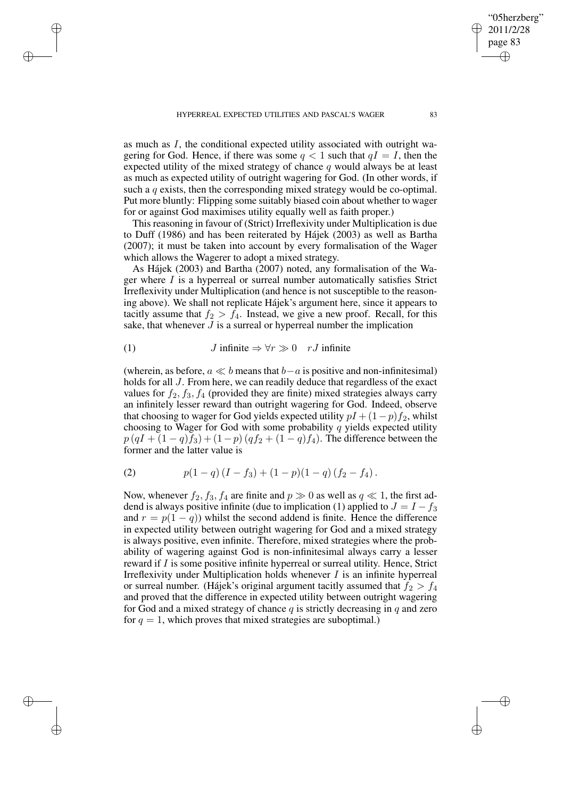✐

✐

✐

as much as I, the conditional expected utility associated with outright wagering for God. Hence, if there was some  $q < 1$  such that  $qI = I$ , then the expected utility of the mixed strategy of chance q would always be at least as much as expected utility of outright wagering for God. (In other words, if such a q exists, then the corresponding mixed strategy would be co-optimal. Put more bluntly: Flipping some suitably biased coin about whether to wager for or against God maximises utility equally well as faith proper.)

This reasoning in favour of (Strict) Irreflexivity under Multiplication is due to Duff (1986) and has been reiterated by Hájek (2003) as well as Bartha (2007); it must be taken into account by every formalisation of the Wager which allows the Wagerer to adopt a mixed strategy.

As Hájek (2003) and Bartha (2007) noted, any formalisation of the Wager where  $I$  is a hyperreal or surreal number automatically satisfies Strict Irreflexivity under Multiplication (and hence is not susceptible to the reasoning above). We shall not replicate Hájek's argument here, since it appears to tacitly assume that  $f_2 > f_4$ . Instead, we give a new proof. Recall, for this sake, that whenever  $J$  is a surreal or hyperreal number the implication

(1) 
$$
J \text{ infinite} \Rightarrow \forall r \gg 0 \quad rJ \text{ infinite}
$$

(wherein, as before,  $a \ll b$  means that  $b-a$  is positive and non-infinitesimal) holds for all J. From here, we can readily deduce that regardless of the exact values for  $f_2$ ,  $f_3$ ,  $f_4$  (provided they are finite) mixed strategies always carry an infinitely lesser reward than outright wagering for God. Indeed, observe that choosing to wager for God yields expected utility  $pI + (1-p)f_2$ , whilst choosing to Wager for God with some probability  $q$  yields expected utility  $p(qI + (1 - q)f_3) + (1 - p)(qf_2 + (1 - q)f_4)$ . The difference between the former and the latter value is

(2) 
$$
p(1-q)(I - f_3) + (1-p)(1-q)(f_2 - f_4).
$$

Now, whenever  $f_2$ ,  $f_3$ ,  $f_4$  are finite and  $p \gg 0$  as well as  $q \ll 1$ , the first addend is always positive infinite (due to implication (1) applied to  $J = I - f_3$ and  $r = p(1 - q)$ ) whilst the second addend is finite. Hence the difference in expected utility between outright wagering for God and a mixed strategy is always positive, even infinite. Therefore, mixed strategies where the probability of wagering against God is non-infinitesimal always carry a lesser reward if I is some positive infinite hyperreal or surreal utility. Hence, Strict Irreflexivity under Multiplication holds whenever  $I$  is an infinite hyperreal or surreal number. (Hájek's original argument tacitly assumed that  $f_2 > f_4$ and proved that the difference in expected utility between outright wagering for God and a mixed strategy of chance  $q$  is strictly decreasing in  $q$  and zero for  $q = 1$ , which proves that mixed strategies are suboptimal.)

"05herzberg" 2011/2/28 page 83

✐

✐

✐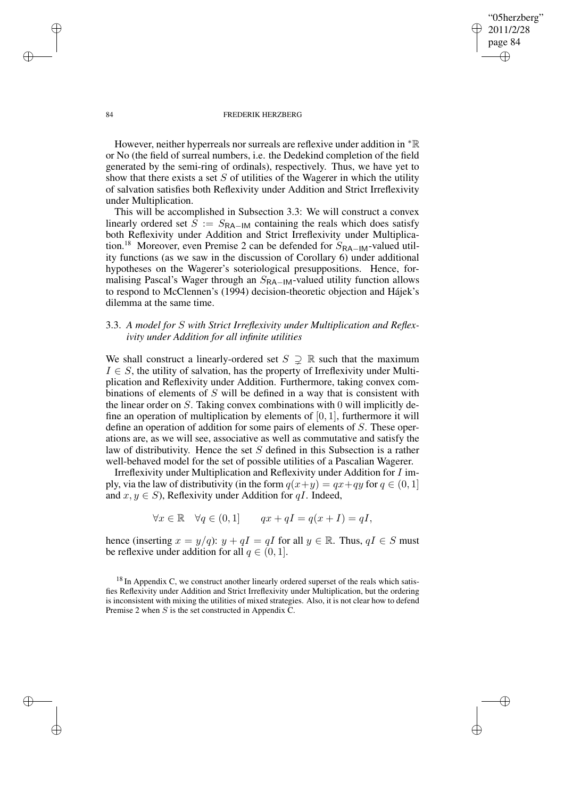84 FREDERIK HERZBERG

"05herzberg" 2011/2/28 page 84

✐

✐

✐

✐

However, neither hyperreals nor surreals are reflexive under addition in <sup>∗</sup>R or No (the field of surreal numbers, i.e. the Dedekind completion of the field generated by the semi-ring of ordinals), respectively. Thus, we have yet to show that there exists a set  $S$  of utilities of the Wagerer in which the utility of salvation satisfies both Reflexivity under Addition and Strict Irreflexivity under Multiplication.

This will be accomplished in Subsection 3.3: We will construct a convex linearly ordered set  $S := S_{\text{RA}-\text{IM}}$  containing the reals which does satisfy both Reflexivity under Addition and Strict Irreflexivity under Multiplication.<sup>18</sup> Moreover, even Premise 2 can be defended for  $S_{\text{RA}-1\text{M}}$ -valued utility functions (as we saw in the discussion of Corollary 6) under additional hypotheses on the Wagerer's soteriological presuppositions. Hence, formalising Pascal's Wager through an  $S_{\text{RA}-\text{IM}}$ -valued utility function allows to respond to McClennen's (1994) decision-theoretic objection and Hájek's dilemma at the same time.

# 3.3. *A model for* S *with Strict Irreflexivity under Multiplication and Reflexivity under Addition for all infinite utilities*

We shall construct a linearly-ordered set  $S \supset \mathbb{R}$  such that the maximum  $I \in S$ , the utility of salvation, has the property of Irreflexivity under Multiplication and Reflexivity under Addition. Furthermore, taking convex combinations of elements of S will be defined in a way that is consistent with the linear order on S. Taking convex combinations with 0 will implicitly define an operation of multiplication by elements of  $[0, 1]$ , furthermore it will define an operation of addition for some pairs of elements of S. These operations are, as we will see, associative as well as commutative and satisfy the law of distributivity. Hence the set S defined in this Subsection is a rather well-behaved model for the set of possible utilities of a Pascalian Wagerer.

Irreflexivity under Multiplication and Reflexivity under Addition for I imply, via the law of distributivity (in the form  $q(x+y) = qx+qy$  for  $q \in (0,1]$ and  $x, y \in S$ ), Reflexivity under Addition for q*I*. Indeed,

$$
\forall x \in \mathbb{R} \quad \forall q \in (0,1] \qquad qx + qI = q(x+I) = qI,
$$

hence (inserting  $x = y/q$ ):  $y + qI = qI$  for all  $y \in \mathbb{R}$ . Thus,  $qI \in S$  must be reflexive under addition for all  $q \in (0, 1]$ .

✐

✐

✐

 $18$  In Appendix C, we construct another linearly ordered superset of the reals which satisfies Reflexivity under Addition and Strict Irreflexivity under Multiplication, but the ordering is inconsistent with mixing the utilities of mixed strategies. Also, it is not clear how to defend Premise 2 when S is the set constructed in Appendix C.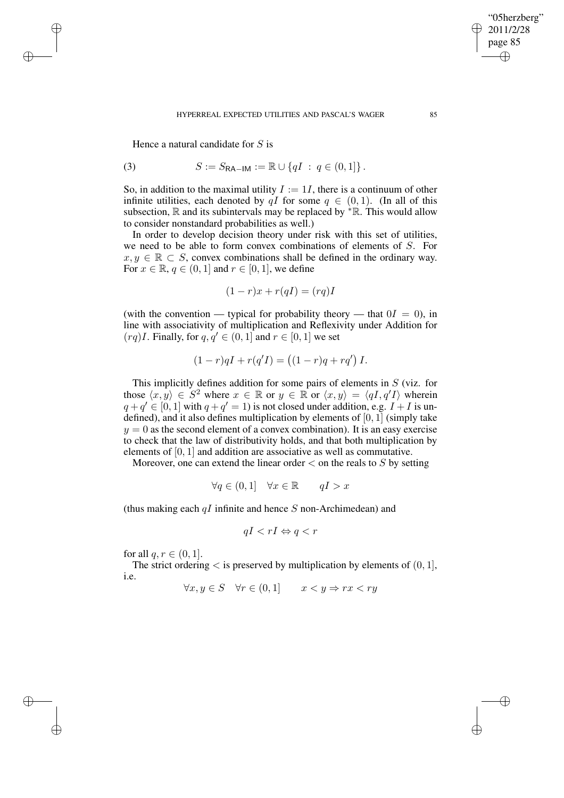#### HYPERREAL EXPECTED UTILITIES AND PASCAL'S WAGER 85

Hence a natural candidate for  $S$  is

✐

✐

✐

✐

(3) 
$$
S := S_{\mathsf{RA-IM}} := \mathbb{R} \cup \{qI : q \in (0,1]\}.
$$

So, in addition to the maximal utility  $I := 1I$ , there is a continuum of other infinite utilities, each denoted by qI for some  $q \in (0,1)$ . (In all of this subsection,  $\mathbb R$  and its subintervals may be replaced by  $* \mathbb R$ . This would allow to consider nonstandard probabilities as well.)

In order to develop decision theory under risk with this set of utilities, we need to be able to form convex combinations of elements of S. For  $x, y \in \mathbb{R} \subset S$ , convex combinations shall be defined in the ordinary way. For  $x \in \mathbb{R}$ ,  $q \in (0, 1]$  and  $r \in [0, 1]$ , we define

$$
(1 - r)x + r(qI) = (rq)I
$$

(with the convention — typical for probability theory — that  $0I = 0$ ), in line with associativity of multiplication and Reflexivity under Addition for  $(rq)I$ . Finally, for  $q, q' \in (0, 1]$  and  $r \in [0, 1]$  we set

$$
(1 - r)qI + r(q'I) = ((1 - r)q + rq')I.
$$

This implicitly defines addition for some pairs of elements in S (viz. for those  $\langle x, y \rangle \in S^2$  where  $x \in \mathbb{R}$  or  $y \in \mathbb{R}$  or  $\langle x, y \rangle = \langle qI, q'I \rangle$  wherein  $q + q' \in [0, 1]$  with  $q + q' = 1$ ) is not closed under addition, e.g.  $I + I$  is undefined), and it also defines multiplication by elements of [0, 1] (simply take  $y = 0$  as the second element of a convex combination). It is an easy exercise to check that the law of distributivity holds, and that both multiplication by elements of [0, 1] and addition are associative as well as commutative.

Moreover, one can extend the linear order  $\lt$  on the reals to S by setting

$$
\forall q \in (0,1] \quad \forall x \in \mathbb{R} \qquad qI > x
$$

(thus making each  $qI$  infinite and hence S non-Archimedean) and

$$
qI < rI \Leftrightarrow q < r
$$

for all  $q, r \in (0, 1]$ .

The strict ordering  $\lt$  is preserved by multiplication by elements of  $(0, 1]$ , i.e.

 $\forall x, y \in S \quad \forall r \in (0, 1] \quad x < y \Rightarrow rx < ry$ 

"05herzberg" 2011/2/28 page 85

✐

✐

✐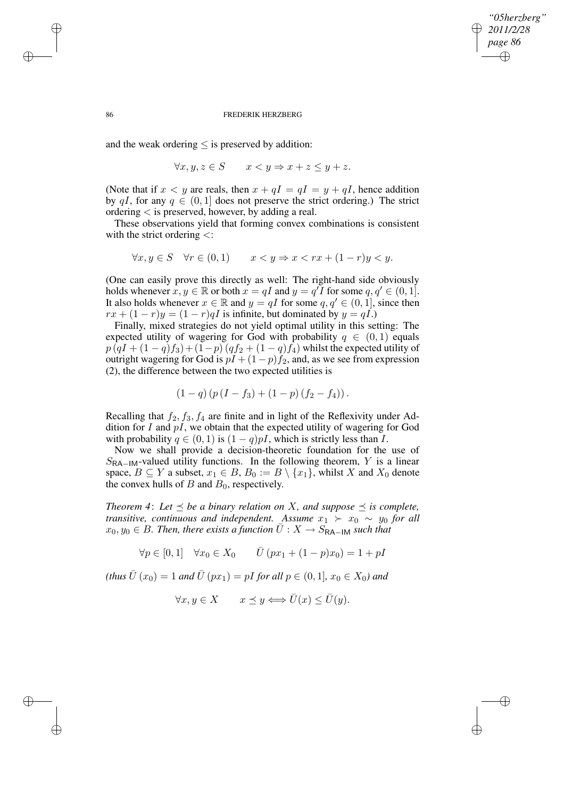## *"05herzberg" 2011/2/28 page 86* ✐ ✐

✐

✐

#### 86 FREDERIK HERZBERG

and the weak ordering  $\leq$  is preserved by addition:

$$
\forall x, y, z \in S \qquad x < y \Rightarrow x + z \le y + z.
$$

(Note that if  $x < y$  are reals, then  $x + qI = qI = y + qI$ , hence addition by qI, for any  $q \in (0, 1]$  does not preserve the strict ordering.) The strict ordering < is preserved, however, by adding a real.

These observations yield that forming convex combinations is consistent with the strict ordering <:

$$
\forall x, y \in S \quad \forall r \in (0, 1) \qquad x < y \Rightarrow x < rx + (1 - r)y < y.
$$

(One can easily prove this directly as well: The right-hand side obviously holds whenever  $x, y \in \mathbb{R}$  or both  $x = qI$  and  $y = q'I$  for some  $q, q' \in (0, 1]$ . It also holds whenever  $x \in \mathbb{R}$  and  $y = qI$  for some  $q, q' \in (0, 1]$ , since then  $rx + (1 - r)y = (1 - r)qI$  is infinite, but dominated by  $y = qI$ .)

Finally, mixed strategies do not yield optimal utility in this setting: The expected utility of wagering for God with probability  $q \in (0,1)$  equals  $p(qI + (1 - q)f_3) + (1 - p)(qf_2 + (1 - q)f_4)$  whilst the expected utility of outright wagering for God is  $pI + (1-p)f_2$ , and, as we see from expression (2), the difference between the two expected utilities is

$$
(1-q) (p (I - f_3) + (1-p) (f_2 - f_4)).
$$

Recalling that  $f_2$ ,  $f_3$ ,  $f_4$  are finite and in light of the Reflexivity under Addition for  $I$  and  $pI$ , we obtain that the expected utility of wagering for God with probability  $q \in (0, 1)$  is  $(1 - q)pI$ , which is strictly less than I.

Now we shall provide a decision-theoretic foundation for the use of  $S_{\text{RA-IM}}$ -valued utility functions. In the following theorem, Y is a linear space,  $B \subseteq Y$  a subset,  $x_1 \in B$ ,  $B_0 := B \setminus \{x_1\}$ , whilst X and  $X_0$  denote the convex hulls of  $B$  and  $B_0$ , respectively.

*Theorem* 4: Let  $\leq$  *be a binary relation on X*, and *suppose*  $\leq$  *is complete*, *transitive, continuous and independent.* Assume  $x_1 \succ x_0 \sim y_0$  for all  $x_0, y_0 \in B$ . Then, there exists a function  $\overline{U}: X \to S_{\sf RA-IM}$  such that

$$
\forall p \in [0,1] \quad \forall x_0 \in X_0 \qquad \overline{U}(px_1 + (1-p)x_0) = 1 + pI
$$

 $(t$ *hus*  $\bar{U}(x_0) = 1$  *and*  $\bar{U}(px_1) = pI$  *for all*  $p \in (0, 1], x_0 \in X_0$ *) and* 

$$
\forall x, y \in X \qquad x \preceq y \Longleftrightarrow \bar{U}(x) \le \bar{U}(y).
$$

✐

✐

✐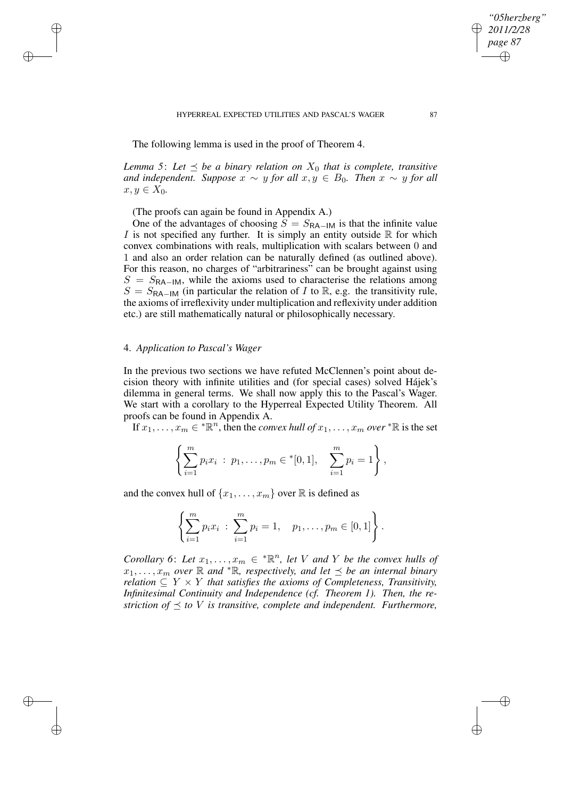HYPERREAL EXPECTED UTILITIES AND PASCAL'S WAGER 87

The following lemma is used in the proof of Theorem 4.

*Lemma* 5: Let  $\prec$  *be a binary relation on*  $X_0$  *that is complete, transitive and independent. Suppose*  $x \sim y$  *for all*  $x, y \in B_0$ *. Then*  $x \sim y$  *for all*  $x, y \in X_0$ .

(The proofs can again be found in Appendix A.)

One of the advantages of choosing  $S = S_{\text{RA}-1\text{M}}$  is that the infinite value I is not specified any further. It is simply an entity outside  $\mathbb R$  for which convex combinations with reals, multiplication with scalars between 0 and 1 and also an order relation can be naturally defined (as outlined above). For this reason, no charges of "arbitrariness" can be brought against using  $S = S_{\text{RA-IM}}$ , while the axioms used to characterise the relations among  $S = S_{\text{RA-IM}}$  (in particular the relation of I to R, e.g. the transitivity rule, the axioms of irreflexivity under multiplication and reflexivity under addition etc.) are still mathematically natural or philosophically necessary.

## 4. *Application to Pascal's Wager*

✐

✐

✐

✐

In the previous two sections we have refuted McClennen's point about decision theory with infinite utilities and (for special cases) solved Hájek's dilemma in general terms. We shall now apply this to the Pascal's Wager. We start with a corollary to the Hyperreal Expected Utility Theorem. All proofs can be found in Appendix A.

If  $x_1, \ldots, x_m \in {^*}\mathbb{R}^n$ , then the *convex hull of*  $x_1, \ldots, x_m$  *over*  $^*\mathbb{R}$  is the set

$$
\left\{\sum_{i=1}^m p_i x_i : p_1,\ldots,p_m \in {}^*[0,1], \quad \sum_{i=1}^m p_i = 1\right\},\
$$

and the convex hull of  $\{x_1, \ldots, x_m\}$  over  $\mathbb R$  is defined as

$$
\left\{\sum_{i=1}^m p_i x_i : \sum_{i=1}^m p_i = 1, p_1, \ldots, p_m \in [0,1]\right\}.
$$

*Corollary* 6: Let  $x_1, \ldots, x_m \in \mathbb{R}^n$ , let V and Y be the convex hulls of  $x_1, \ldots, x_m$  over  $\mathbb R$  *and*  ${}^*\mathbb R$ *, respectively, and let*  $\preceq$  *be an internal binary relation*  $\subseteq Y \times Y$  *that satisfies the axioms of Completeness, Transitivity, Infinitesimal Continuity and Independence (cf. Theorem 1). Then, the restriction of*  $\preceq$  *to V is transitive, complete and independent. Furthermore,* 

*"05herzberg" 2011/2/28 page 87*

✐

✐

✐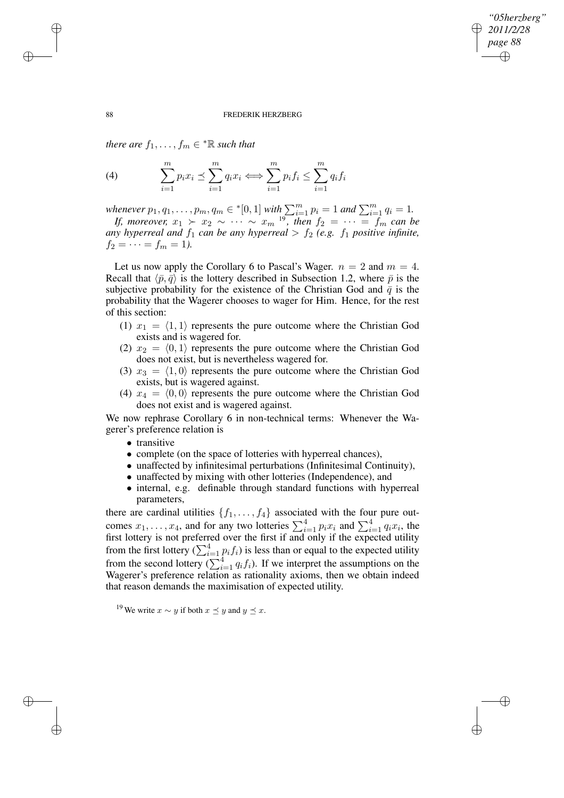✐

#### 88 FREDERIK HERZBERG

 $$ 

(4) 
$$
\sum_{i=1}^{m} p_i x_i \preceq \sum_{i=1}^{m} q_i x_i \Longleftrightarrow \sum_{i=1}^{m} p_i f_i \leq \sum_{i=1}^{m} q_i f_i
$$

*whenever*  $p_1, q_1, \ldots, p_m, q_m \in \{[0, 1] \text{ with } \sum_{i=1}^m p_i = 1 \text{ and } \sum_{i=1}^m q_i = 1.$ 

*If,* moreover,  $x_1 > x_2 \sim \cdots \sim x_m$  <sup>19</sup>, then  $f_2 = \cdots = f_m$  can be *any hyperreal* and  $f_1$  *can be any hyperreal*  $> f_2$  *(e.g.*  $f_1$  *positive infinite,*  $f_2 = \cdots = f_m = 1$ ).

Let us now apply the Corollary 6 to Pascal's Wager.  $n = 2$  and  $m = 4$ . Recall that  $\langle \bar{p}, \bar{q} \rangle$  is the lottery described in Subsection 1.2, where  $\bar{p}$  is the subjective probability for the existence of the Christian God and  $\bar{q}$  is the probability that the Wagerer chooses to wager for Him. Hence, for the rest of this section:

- (1)  $x_1 = \langle 1, 1 \rangle$  represents the pure outcome where the Christian God exists and is wagered for.
- (2)  $x_2 = \langle 0, 1 \rangle$  represents the pure outcome where the Christian God does not exist, but is nevertheless wagered for.
- (3)  $x_3 = \langle 1, 0 \rangle$  represents the pure outcome where the Christian God exists, but is wagered against.
- (4)  $x_4 = \langle 0, 0 \rangle$  represents the pure outcome where the Christian God does not exist and is wagered against.

We now rephrase Corollary 6 in non-technical terms: Whenever the Wagerer's preference relation is

- transitive
- complete (on the space of lotteries with hyperreal chances),
- unaffected by infinitesimal perturbations (Infinitesimal Continuity),
- unaffected by mixing with other lotteries (Independence), and
- internal, e.g. definable through standard functions with hyperreal parameters,

there are cardinal utilities  $\{f_1, \ldots, f_4\}$  associated with the four pure outcomes  $x_1, \ldots, x_4$ , and for any two lotteries  $\sum_{i=1}^4 p_i x_i$  and  $\sum_{i=1}^4 q_i x_i$ , the first lottery is not preferred over the first if and only if the expected utility from the first lottery  $(\sum_{i=1}^{4} p_i f_i)$  is less than or equal to the expected utility from the second lottery ( $\sum_{i=1}^{4} q_i f_i$ ). If we interpret the assumptions on the Wagerer's preference relation as rationality axioms, then we obtain indeed that reason demands the maximisation of expected utility.

<sup>19</sup> We write  $x \sim y$  if both  $x \prec y$  and  $y \prec x$ .

✐

✐

✐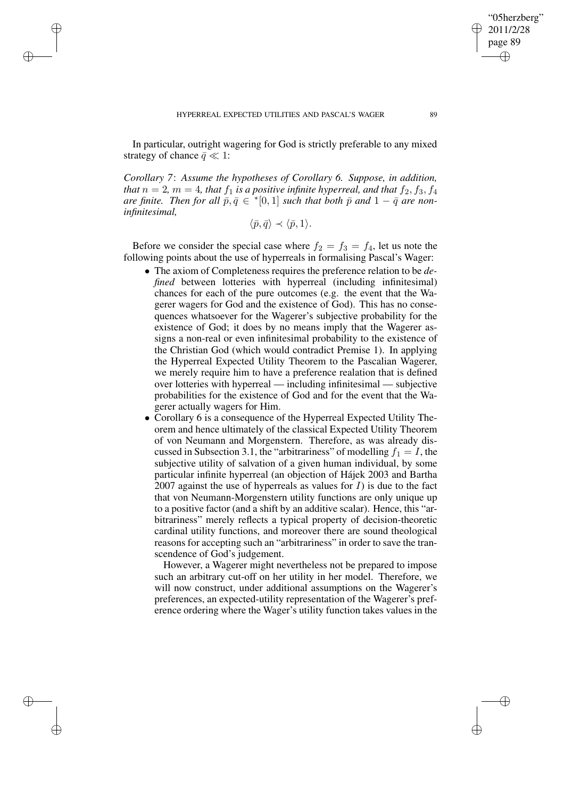✐

✐

✐

In particular, outright wagering for God is strictly preferable to any mixed strategy of chance  $\bar{q} \ll 1$ :

*Corollary 7*: *Assume the hypotheses of Corollary 6. Suppose, in addition, that*  $n = 2$ ,  $m = 4$ , *that*  $f_1$  *is a positive infinite hyperreal, and that*  $f_2, f_3, f_4$ *are finite. Then for all*  $\overline{p}$ ,  $\overline{q} \in$  \*[0,1] *such that both*  $\overline{p}$  *and* 1 –  $\overline{q}$  *are noninfinitesimal,*

$$
\langle \bar{p}, \bar{q} \rangle \prec \langle \bar{p}, 1 \rangle.
$$

Before we consider the special case where  $f_2 = f_3 = f_4$ , let us note the following points about the use of hyperreals in formalising Pascal's Wager:

- The axiom of Completeness requires the preference relation to be *defined* between lotteries with hyperreal (including infinitesimal) chances for each of the pure outcomes (e.g. the event that the Wagerer wagers for God and the existence of God). This has no consequences whatsoever for the Wagerer's subjective probability for the existence of God; it does by no means imply that the Wagerer assigns a non-real or even infinitesimal probability to the existence of the Christian God (which would contradict Premise 1). In applying the Hyperreal Expected Utility Theorem to the Pascalian Wagerer, we merely require him to have a preference realation that is defined over lotteries with hyperreal — including infinitesimal — subjective probabilities for the existence of God and for the event that the Wagerer actually wagers for Him.
- Corollary 6 is a consequence of the Hyperreal Expected Utility Theorem and hence ultimately of the classical Expected Utility Theorem of von Neumann and Morgenstern. Therefore, as was already discussed in Subsection 3.1, the "arbitrariness" of modelling  $f_1 = I$ , the subjective utility of salvation of a given human individual, by some particular infinite hyperreal (an objection of Hájek 2003 and Bartha 2007 against the use of hyperreals as values for  $I$ ) is due to the fact that von Neumann-Morgenstern utility functions are only unique up to a positive factor (and a shift by an additive scalar). Hence, this "arbitrariness" merely reflects a typical property of decision-theoretic cardinal utility functions, and moreover there are sound theological reasons for accepting such an "arbitrariness" in order to save the transcendence of God's judgement.

However, a Wagerer might nevertheless not be prepared to impose such an arbitrary cut-off on her utility in her model. Therefore, we will now construct, under additional assumptions on the Wagerer's preferences, an expected-utility representation of the Wagerer's preference ordering where the Wager's utility function takes values in the

"05herzberg" 2011/2/28 page 89

✐

✐

✐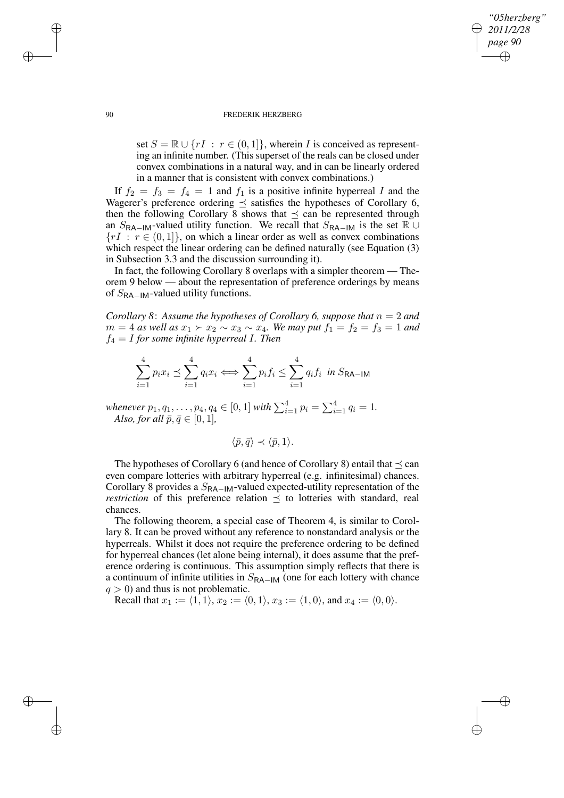## *"05herzberg" 2011/2/28 page 90* ✐ ✐

✐

✐

#### 90 FREDERIK HERZBERG

set  $S = \mathbb{R} \cup \{rI : r \in (0,1]\},$  wherein I is conceived as representing an infinite number. (This superset of the reals can be closed under convex combinations in a natural way, and in can be linearly ordered in a manner that is consistent with convex combinations.)

If  $f_2 = f_3 = f_4 = 1$  and  $f_1$  is a positive infinite hyperreal I and the Wagerer's preference ordering  $\preceq$  satisfies the hypotheses of Corollary 6, then the following Corollary 8 shows that  $\preceq$  can be represented through an  $S_{\text{RA}-\text{IM}}$ -valued utility function. We recall that  $S_{\text{RA}-\text{IM}}$  is the set  $\mathbb{R} \cup$  ${rI : r \in (0,1]}$ , on which a linear order as well as convex combinations which respect the linear ordering can be defined naturally (see Equation  $(3)$ ) in Subsection 3.3 and the discussion surrounding it).

In fact, the following Corollary 8 overlaps with a simpler theorem — Theorem 9 below — about the representation of preference orderings by means of  $S_{\text{RA}-\text{IM}}$ -valued utility functions.

*Corollary* 8: Assume the *hypotheses of Corollary* 6, suppose that  $n = 2$  and  $m = 4$  *as well as*  $x_1 \succ x_2 \sim x_3 \sim x_4$ *. We may put*  $f_1 = f_2 = f_3 = 1$  *and*  $f_4 = I$  *for some infinite hyperreal I. Then* 

$$
\sum_{i=1}^{4} p_i x_i \preceq \sum_{i=1}^{4} q_i x_i \Longleftrightarrow \sum_{i=1}^{4} p_i f_i \le \sum_{i=1}^{4} q_i f_i \text{ in } S_{\mathsf{RA-IM}}
$$

*whenever*  $p_1, q_1, \ldots, p_4, q_4 \in [0, 1]$  *with*  $\sum_{i=1}^{4} p_i = \sum_{i=1}^{4} q_i = 1$ . *Also, for all*  $\bar{p}, \bar{q} \in [0, 1]$ *,* 

$$
\langle \bar{p}, \bar{q} \rangle \prec \langle \bar{p}, 1 \rangle.
$$

The hypotheses of Corollary 6 (and hence of Corollary 8) entail that  $\prec$  can even compare lotteries with arbitrary hyperreal (e.g. infinitesimal) chances. Corollary 8 provides a  $S_{\text{RA}-\text{IM}}$ -valued expected-utility representation of the *restriction* of this preference relation  $\leq$  to lotteries with standard, real chances.

The following theorem, a special case of Theorem 4, is similar to Corollary 8. It can be proved without any reference to nonstandard analysis or the hyperreals. Whilst it does not require the preference ordering to be defined for hyperreal chances (let alone being internal), it does assume that the preference ordering is continuous. This assumption simply reflects that there is a continuum of infinite utilities in  $S_{\sf RA-IM}$  (one for each lottery with chance  $q > 0$ ) and thus is not problematic.

Recall that  $x_1 := \langle 1, 1 \rangle$ ,  $x_2 := \langle 0, 1 \rangle$ ,  $x_3 := \langle 1, 0 \rangle$ , and  $x_4 := \langle 0, 0 \rangle$ .

✐

✐

✐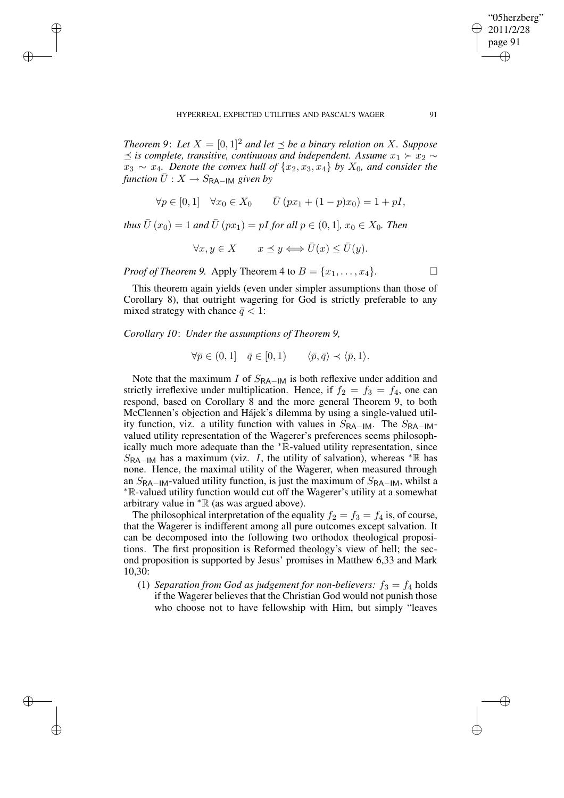*Theorem* 9: Let  $X = [0, 1]^2$  *and let*  $\preceq$  *be a binary relation on* X*. Suppose*  $\leq$  *is complete, transitive, continuous and independent. Assume*  $x_1$  ≻  $x_2$  ∼  $x_3 \sim x_4$ *. Denote the convex hull of*  $\{x_2, x_3, x_4\}$  *by*  $X_0$ *, and consider the function*  $\overline{U}$  :  $X \rightarrow S_{\text{RA-IM}}$  *given by* 

$$
\forall p \in [0,1] \quad \forall x_0 \in X_0 \qquad \overline{U}(px_1 + (1-p)x_0) = 1 + pI,
$$

*thus*  $\bar{U}(x_0) = 1$  *and*  $\bar{U}(px_1) = pI$  *for all*  $p \in (0, 1], x_0 \in X_0$ *. Then* 

 $\forall x, y \in X \quad x \preceq y \Longleftrightarrow \overline{U}(x) \leq \overline{U}(y).$ 

*Proof of Theorem 9.* Apply Theorem 4 to  $B = \{x_1, \ldots, x_4\}$ .

This theorem again yields (even under simpler assumptions than those of Corollary 8), that outright wagering for God is strictly preferable to any mixed strategy with chance  $\bar{q}$  < 1:

*Corollary 10*: *Under the assumptions of Theorem 9,*

✐

✐

✐

✐

$$
\forall \bar{p} \in (0,1] \quad \bar{q} \in [0,1) \qquad \langle \bar{p}, \bar{q} \rangle \prec \langle \bar{p}, 1 \rangle.
$$

Note that the maximum I of  $S_{\text{RA-IM}}$  is both reflexive under addition and strictly irreflexive under multiplication. Hence, if  $f_2 = f_3 = f_4$ , one can respond, based on Corollary 8 and the more general Theorem 9, to both McClennen's objection and Hájek's dilemma by using a single-valued utility function, viz. a utility function with values in  $S_{\sf RA-IM}$ . The  $S_{\sf RA-IM}$ valued utility representation of the Wagerer's preferences seems philosophically much more adequate than the <sup>∗</sup>R-valued utility representation, since  $S_{\sf RA-IM}$  has a maximum (viz. I, the utility of salvation), whereas \* $\mathbb R$  has none. Hence, the maximal utility of the Wagerer, when measured through an  $S_{\text{RA}-\text{IM}}$ -valued utility function, is just the maximum of  $S_{\text{RA}-\text{IM}}$ , whilst a <sup>∗</sup>R-valued utility function would cut off the Wagerer's utility at a somewhat arbitrary value in  $*$ R (as was argued above).

The philosophical interpretation of the equality  $f_2 = f_3 = f_4$  is, of course, that the Wagerer is indifferent among all pure outcomes except salvation. It can be decomposed into the following two orthodox theological propositions. The first proposition is Reformed theology's view of hell; the second proposition is supported by Jesus' promises in Matthew 6,33 and Mark 10,30:

(1) *Separation from God as judgement for non-believers:*  $f_3 = f_4$  holds if the Wagerer believes that the Christian God would not punish those who choose not to have fellowship with Him, but simply "leaves

"05herzberg" 2011/2/28 page 91

✐

✐

✐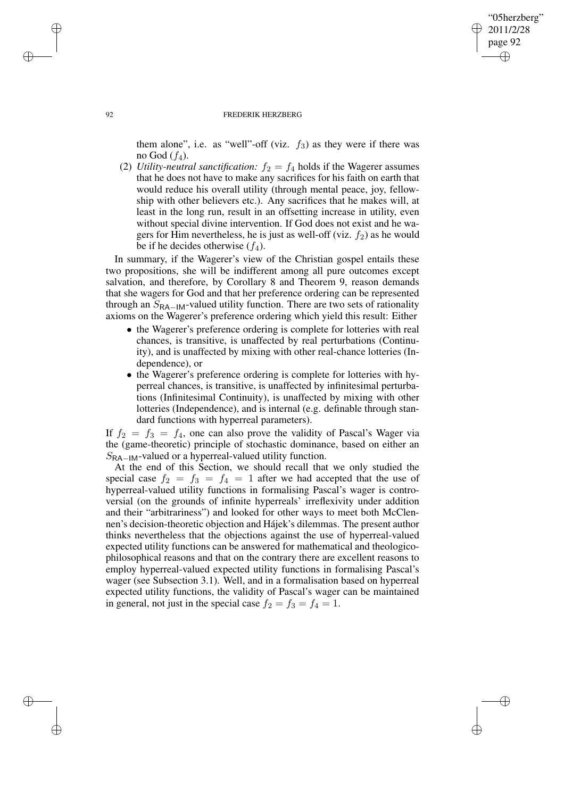# "05herzberg" 2011/2/28 page 92 ✐ ✐

✐

✐

#### 92 FREDERIK HERZBERG

them alone", i.e. as "well"-off (viz.  $f_3$ ) as they were if there was no God  $(f_4)$ .

(2) *Utility-neutral sanctification:*  $f_2 = f_4$  holds if the Wagerer assumes that he does not have to make any sacrifices for his faith on earth that would reduce his overall utility (through mental peace, joy, fellowship with other believers etc.). Any sacrifices that he makes will, at least in the long run, result in an offsetting increase in utility, even without special divine intervention. If God does not exist and he wagers for Him nevertheless, he is just as well-off (viz.  $f_2$ ) as he would be if he decides otherwise  $(f_4)$ .

In summary, if the Wagerer's view of the Christian gospel entails these two propositions, she will be indifferent among all pure outcomes except salvation, and therefore, by Corollary 8 and Theorem 9, reason demands that she wagers for God and that her preference ordering can be represented through an  $S_{\text{RA}-\text{IM}}$ -valued utility function. There are two sets of rationality axioms on the Wagerer's preference ordering which yield this result: Either

- the Wagerer's preference ordering is complete for lotteries with real chances, is transitive, is unaffected by real perturbations (Continuity), and is unaffected by mixing with other real-chance lotteries (Independence), or
- the Wagerer's preference ordering is complete for lotteries with hyperreal chances, is transitive, is unaffected by infinitesimal perturbations (Infinitesimal Continuity), is unaffected by mixing with other lotteries (Independence), and is internal (e.g. definable through standard functions with hyperreal parameters).

If  $f_2 = f_3 = f_4$ , one can also prove the validity of Pascal's Wager via the (game-theoretic) principle of stochastic dominance, based on either an SRA−IM-valued or a hyperreal-valued utility function.

At the end of this Section, we should recall that we only studied the special case  $f_2 = f_3 = f_4 = 1$  after we had accepted that the use of hyperreal-valued utility functions in formalising Pascal's wager is controversial (on the grounds of infinite hyperreals' irreflexivity under addition and their "arbitrariness") and looked for other ways to meet both McClennen's decision-theoretic objection and Hájek's dilemmas. The present author thinks nevertheless that the objections against the use of hyperreal-valued expected utility functions can be answered for mathematical and theologicophilosophical reasons and that on the contrary there are excellent reasons to employ hyperreal-valued expected utility functions in formalising Pascal's wager (see Subsection 3.1). Well, and in a formalisation based on hyperreal expected utility functions, the validity of Pascal's wager can be maintained in general, not just in the special case  $f_2 = f_3 = f_4 = 1$ .

✐

✐

✐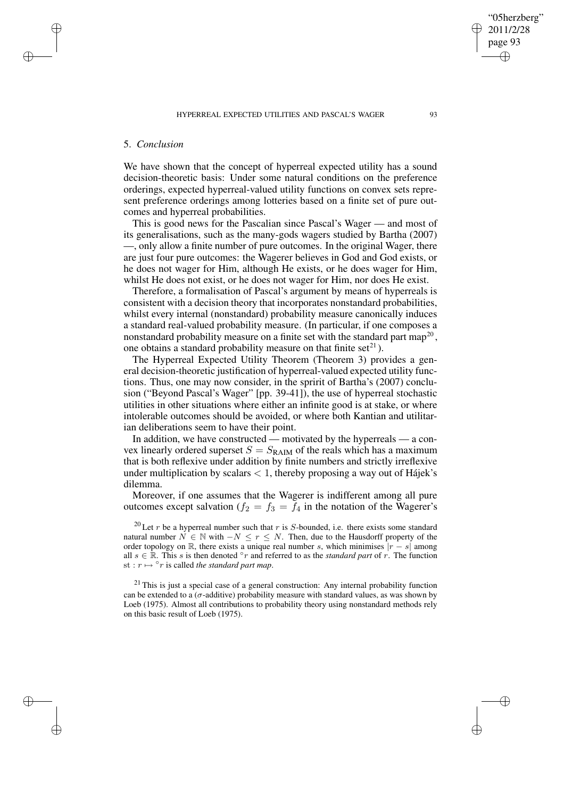## 5. *Conclusion*

✐

✐

✐

✐

We have shown that the concept of hyperreal expected utility has a sound decision-theoretic basis: Under some natural conditions on the preference orderings, expected hyperreal-valued utility functions on convex sets represent preference orderings among lotteries based on a finite set of pure outcomes and hyperreal probabilities.

This is good news for the Pascalian since Pascal's Wager — and most of its generalisations, such as the many-gods wagers studied by Bartha (2007) —, only allow a finite number of pure outcomes. In the original Wager, there are just four pure outcomes: the Wagerer believes in God and God exists, or he does not wager for Him, although He exists, or he does wager for Him, whilst He does not exist, or he does not wager for Him, nor does He exist.

Therefore, a formalisation of Pascal's argument by means of hyperreals is consistent with a decision theory that incorporates nonstandard probabilities, whilst every internal (nonstandard) probability measure canonically induces a standard real-valued probability measure. (In particular, if one composes a nonstandard probability measure on a finite set with the standard part map<sup>20</sup>, one obtains a standard probability measure on that finite set $^{21}$ ).

The Hyperreal Expected Utility Theorem (Theorem 3) provides a general decision-theoretic justification of hyperreal-valued expected utility functions. Thus, one may now consider, in the spririt of Bartha's (2007) conclusion ("Beyond Pascal's Wager" [pp. 39-41]), the use of hyperreal stochastic utilities in other situations where either an infinite good is at stake, or where intolerable outcomes should be avoided, or where both Kantian and utilitarian deliberations seem to have their point.

In addition, we have constructed — motivated by the hyperreals — a convex linearly ordered superset  $S = S_{\text{RAIM}}$  of the reals which has a maximum that is both reflexive under addition by finite numbers and strictly irreflexive under multiplication by scalars  $\langle 1$ , thereby proposing a way out of Hájek's dilemma.

Moreover, if one assumes that the Wagerer is indifferent among all pure outcomes except salvation ( $f_2 = f_3 = f_4$  in the notation of the Wagerer's

<sup>20</sup> Let r be a hyperreal number such that r is S-bounded, i.e. there exists some standard natural number  $N \in \mathbb{N}$  with  $-N \leq r \leq N$ . Then, due to the Hausdorff property of the order topology on R, there exists a unique real number s, which minimises  $|r - s|$  among all  $s \in \mathbb{R}$ . This s is then denoted  $\circ r$  and referred to as the *standard part* of r. The function  $\text{st}: r \mapsto \text{S}r$  is called *the standard part map*.

 $21$  This is just a special case of a general construction: Any internal probability function can be extended to a ( $\sigma$ -additive) probability measure with standard values, as was shown by Loeb (1975). Almost all contributions to probability theory using nonstandard methods rely on this basic result of Loeb (1975).

"05herzberg" 2011/2/28 page 93

✐

✐

✐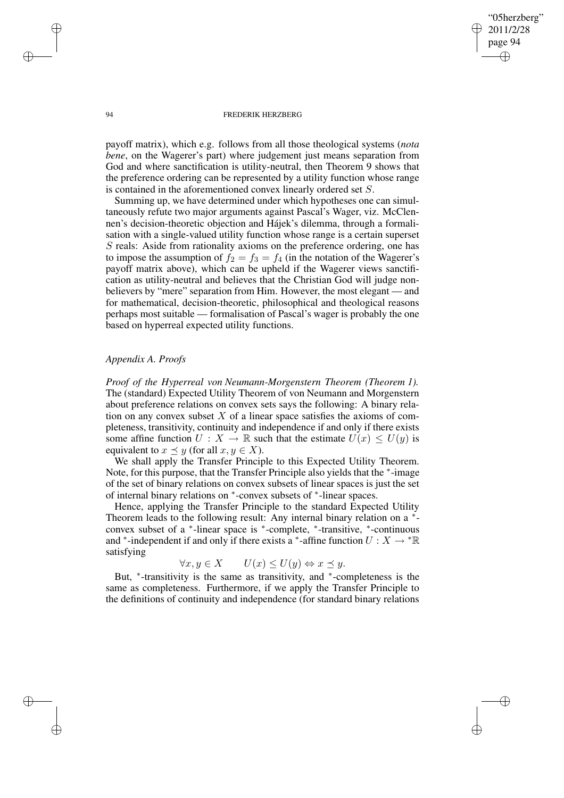"05herzberg" 2011/2/28 page 94 ✐ ✐

✐

✐

#### 94 FREDERIK HERZBERG

payoff matrix), which e.g. follows from all those theological systems (*nota bene*, on the Wagerer's part) where judgement just means separation from God and where sanctification is utility-neutral, then Theorem 9 shows that the preference ordering can be represented by a utility function whose range is contained in the aforementioned convex linearly ordered set S.

Summing up, we have determined under which hypotheses one can simultaneously refute two major arguments against Pascal's Wager, viz. McClennen's decision-theoretic objection and Hájek's dilemma, through a formalisation with a single-valued utility function whose range is a certain superset S reals: Aside from rationality axioms on the preference ordering, one has to impose the assumption of  $f_2 = f_3 = f_4$  (in the notation of the Wagerer's payoff matrix above), which can be upheld if the Wagerer views sanctification as utility-neutral and believes that the Christian God will judge nonbelievers by "mere" separation from Him. However, the most elegant — and for mathematical, decision-theoretic, philosophical and theological reasons perhaps most suitable — formalisation of Pascal's wager is probably the one based on hyperreal expected utility functions.

# *Appendix A. Proofs*

*Proof of the Hyperreal von Neumann-Morgenstern Theorem (Theorem 1).* The (standard) Expected Utility Theorem of von Neumann and Morgenstern about preference relations on convex sets says the following: A binary relation on any convex subset  $X$  of a linear space satisfies the axioms of completeness, transitivity, continuity and independence if and only if there exists some affine function  $U : X \to \mathbb{R}$  such that the estimate  $U(x) \leq U(y)$  is equivalent to  $x \preceq y$  (for all  $x, y \in X$ ).

We shall apply the Transfer Principle to this Expected Utility Theorem. Note, for this purpose, that the Transfer Principle also yields that the <sup>∗</sup>-image of the set of binary relations on convex subsets of linear spaces is just the set of internal binary relations on <sup>∗</sup> -convex subsets of <sup>∗</sup> -linear spaces.

Hence, applying the Transfer Principle to the standard Expected Utility Theorem leads to the following result: Any internal binary relation on a \*convex subset of a ∗ -linear space is <sup>∗</sup> -complete, <sup>∗</sup> -transitive, <sup>∗</sup> -continuous and \*-independent if and only if there exists a \*-affine function  $U: X \to \mathbb{R}$ satisfying

 $\forall x, y \in X$   $U(x) \leq U(y) \Leftrightarrow x \preceq y.$ 

But, \*-transitivity is the same as transitivity, and \*-completeness is the same as completeness. Furthermore, if we apply the Transfer Principle to the definitions of continuity and independence (for standard binary relations

✐

✐

✐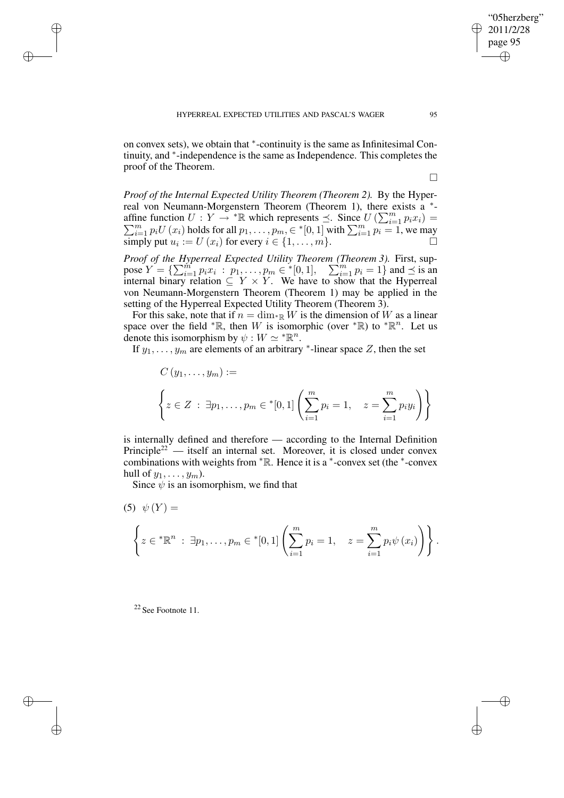on convex sets), we obtain that \*-continuity is the same as Infinitesimal Continuity, and <sup>∗</sup> -independence is the same as Independence. This completes the proof of the Theorem.

 $\Box$ 

*Proof of the Internal Expected Utility Theorem (Theorem 2).* By the Hyperreal von Neumann-Morgenstern Theorem (Theorem 1), there exists a \*affine function  $U: Y \to {}^* \mathbb{R}$  which represents  $\preceq$ . Since  $U(\sum_{i=1}^m p_i U(x_i))$  holds for all  $p_1, \ldots, p_m \in {}^* [0,1]$  with  $\sum_{i=1}^m p_i = 1$ . ine function  $U: Y \to {}^* \mathbb{R}$  which represents  $\preceq$ . Since  $U(\sum_{i=1}^m p_i x_i) =$ <br> $\sum_{i=1}^m p_i U(x_i)$  holds for all  $p_1, \ldots, p_m \in {}^* [0,1]$  with  $\sum_{i=1}^m p_i = 1$ , we may  $\sum_{i=1}^{n}$  if  $\sum_{i=1}^{n}$  if  $u_i := U(x_i)$  for every  $i \in \{1, \ldots, m\}$ .

*Proof of the Hyperreal Expected Utility Theorem (Theorem 3).* First, suppose  $Y = \{ \sum_{i=1}^{m} p_i x_i : p_1, \dots, p_m \in \{0, 1\}, \quad \sum_{i=1}^{m} p_i = 1 \}$  and  $\preceq$  is an internal binary relation  $\subseteq Y \times Y$ . We have to show that the Hyperreal von Neumann-Morgenstern Theorem (Theorem 1) may be applied in the setting of the Hyperreal Expected Utility Theorem (Theorem 3).

For this sake, note that if  $n = \dim_{\mathbb{R}} W$  is the dimension of W as a linear space over the field \* $\mathbb{R}$ , then W is isomorphic (over \* $\mathbb{R}$ ) to \* $\mathbb{R}^n$ . Let us denote this isomorphism by  $\psi : W \simeq {}^* \mathbb{R}^n$ .

If  $y_1, \ldots, y_m$  are elements of an arbitrary \*-linear space Z, then the set

$$
C(y_1, ..., y_m) :=
$$
  

$$
\left\{ z \in Z : \exists p_1, ..., p_m \in {^*}[0,1] \left( \sum_{i=1}^m p_i = 1, \quad z = \sum_{i=1}^m p_i y_i \right) \right\}
$$

is internally defined and therefore — according to the Internal Definition Principle<sup>22</sup> — itself an internal set. Moreover, it is closed under convex combinations with weights from  $* \mathbb{R}$ . Hence it is a  $*$ -convex set (the  $*$ -convex hull of  $y_1, \ldots, y_m$ ).

Since  $\psi$  is an isomorphism, we find that

(5) 
$$
\psi(Y) =
$$
  
\n
$$
\left\{ z \in {^*}\mathbb{R}^n : \exists p_1, \dots, p_m \in {^*}[0,1] \left( \sum_{i=1}^m p_i = 1, \quad z = \sum_{i=1}^m p_i \psi(x_i) \right) \right\}.
$$

<sup>22</sup> See Footnote 11.

✐

✐

✐

✐

"05herzberg" 2011/2/28 page 95

✐

✐

✐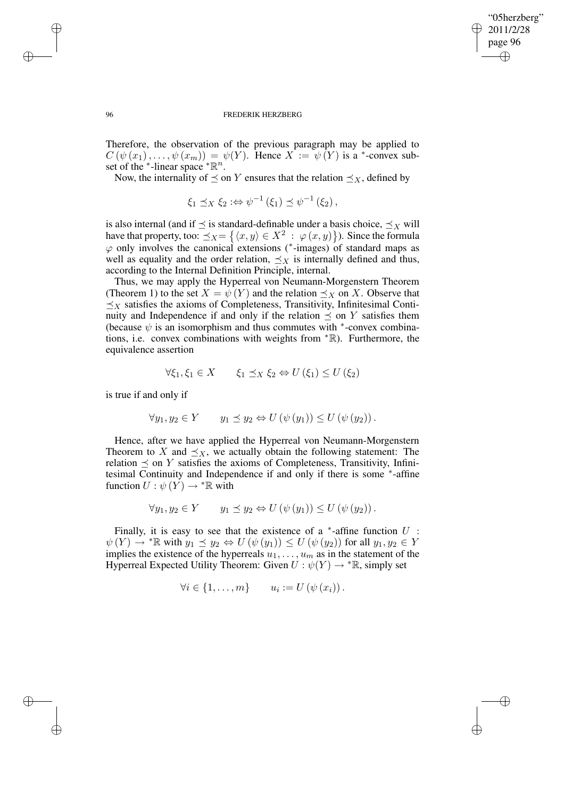✐

## 96 FREDERIK HERZBERG

Therefore, the observation of the previous paragraph may be applied to  $C(\psi(x_1), \ldots, \psi(x_m)) = \psi(Y)$ . Hence  $X := \psi(Y)$  is a \*-convex subset of the \*-linear space  ${}^* \mathbb{R}^n$ .

Now, the internality of  $\preceq$  on Y ensures that the relation  $\preceq_X$ , defined by

$$
\xi_1 \preceq_X \xi_2 : \Leftrightarrow \psi^{-1}(\xi_1) \preceq \psi^{-1}(\xi_2),
$$

is also internal (and if  $\preceq$  is standard-definable under a basis choice,  $\preceq_X$  will have that property, too:  $\preceq_X = \{ \langle x, y \rangle \in X^2 \; : \; \varphi(x, y) \}.$  Since the formula  $\varphi$  only involves the canonical extensions (\*-images) of standard maps as well as equality and the order relation,  $\preceq_X$  is internally defined and thus, according to the Internal Definition Principle, internal.

Thus, we may apply the Hyperreal von Neumann-Morgenstern Theorem (Theorem 1) to the set  $X = \psi(Y)$  and the relation  $\preceq_X$  on X. Observe that  $\preceq_X$  satisfies the axioms of Completeness, Transitivity, Infinitesimal Continuity and Independence if and only if the relation  $\preceq$  on Y satisfies them (because  $\psi$  is an isomorphism and thus commutes with <sup>\*</sup>-convex combinations, i.e. convex combinations with weights from <sup>∗</sup>R). Furthermore, the equivalence assertion

$$
\forall \xi_1, \xi_1 \in X \qquad \xi_1 \preceq_X \xi_2 \Leftrightarrow U(\xi_1) \le U(\xi_2)
$$

is true if and only if

$$
\forall y_1, y_2 \in Y \qquad y_1 \preceq y_2 \Leftrightarrow U(\psi(y_1)) \leq U(\psi(y_2)).
$$

Hence, after we have applied the Hyperreal von Neumann-Morgenstern Theorem to X and  $\preceq_X$ , we actually obtain the following statement: The relation  $\preceq$  on Y satisfies the axioms of Completeness, Transitivity, Infinitesimal Continuity and Independence if and only if there is some <sup>∗</sup>-affine function  $U: \psi(Y) \to {}^* \mathbb{R}$  with

$$
\forall y_1, y_2 \in Y \qquad y_1 \preceq y_2 \Leftrightarrow U(\psi(y_1)) \leq U(\psi(y_2)).
$$

Finally, it is easy to see that the existence of a  $*$ -affine function  $U$ :  $\psi(Y) \to {}^* \mathbb{R}$  with  $y_1 \preceq y_2 \Leftrightarrow U(\psi(y_1)) \leq U(\psi(y_2))$  for all  $y_1, y_2 \in Y$ implies the existence of the hyperreals  $u_1, \ldots, u_m$  as in the statement of the Hyperreal Expected Utility Theorem: Given  $U : \psi(Y) \to \text{max}$ , simply set

$$
\forall i \in \{1, \ldots, m\} \qquad u_i := U(\psi(x_i)).
$$

✐

✐

✐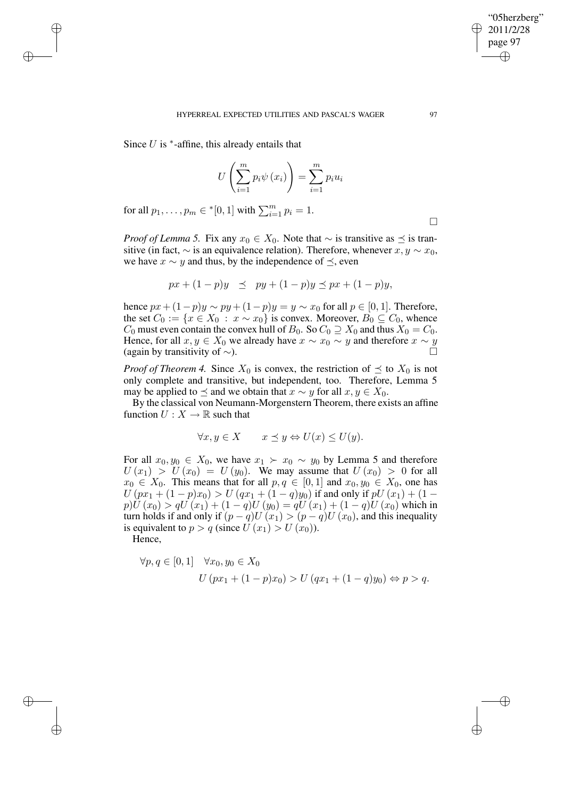Since  $U$  is  $*$ -affine, this already entails that

✐

✐

✐

✐

$$
U\left(\sum_{i=1}^{m} p_i \psi\left(x_i\right)\right) = \sum_{i=1}^{m} p_i u_i
$$

for all  $p_1, ..., p_m \in {}^{*}[0,1]$  with  $\sum_{i=1}^{m} p_i = 1$ .

*Proof of Lemma 5.* Fix any  $x_0 \in X_0$ . Note that  $\sim$  is transitive as  $\preceq$  is transitive (in fact,  $\sim$  is an equivalence relation). Therefore, whenever  $x, y \sim x_0$ , we have  $x \sim y$  and thus, by the independence of  $\preceq$ , even

$$
px + (1-p)y \le py + (1-p)y \le px + (1-p)y,
$$

hence  $px+(1-p)y \sim py+(1-p)y = y \sim x_0$  for all  $p \in [0,1]$ . Therefore, the set  $C_0 := \{x \in X_0 : x \sim x_0\}$  is convex. Moreover,  $B_0 \subseteq C_0$ , whence  $C_0$  must even contain the convex hull of  $B_0$ . So  $C_0 \supseteq X_0$  and thus  $X_0 = C_0$ . Hence, for all  $x, y \in X_0$  we already have  $x \sim x_0 \sim y$  and therefore  $x \sim y$ (again by transitivity of  $\sim$ ).

*Proof of Theorem 4.* Since  $X_0$  is convex, the restriction of  $\preceq$  to  $X_0$  is not only complete and transitive, but independent, too. Therefore, Lemma 5 may be applied to  $\preceq$  and we obtain that  $x \sim y$  for all  $x, y \in X_0$ .

By the classical von Neumann-Morgenstern Theorem, there exists an affine function  $U : X \to \mathbb{R}$  such that

$$
\forall x, y \in X \qquad x \preceq y \Leftrightarrow U(x) \le U(y).
$$

For all  $x_0, y_0 \in X_0$ , we have  $x_1 \succ x_0 \sim y_0$  by Lemma 5 and therefore  $U(x_1) > U(x_0) = U(y_0)$ . We may assume that  $U(x_0) > 0$  for all  $x_0 \in X_0$ . This means that for all  $p, q \in [0, 1]$  and  $x_0, y_0 \in X_0$ , one has  $U\left( px_{1}+(1-p)x_{0}\right) >U\left( qx_{1}+(1-q)y_{0}\right)$  if and only if  $pU\left( x_{1}\right) +(1-p)x_{0}$  $p)U(x_0) > qU(x_1) + (1 - q)U(y_0) = qU(x_1) + (1 - q)U(x_0)$  which in turn holds if and only if  $(p - q)U(x_1) > (p - q)U(x_0)$ , and this inequality is equivalent to  $p > q$  (since  $U(x_1) > U(x_0)$ ).

Hence,

$$
\forall p, q \in [0, 1] \quad \forall x_0, y_0 \in X_0
$$
  

$$
U (px_1 + (1 - p)x_0) > U (qx_1 + (1 - q)y_0) \Leftrightarrow p > q
$$

 $\Box$ 

"05herzberg" 2011/2/28 page 97

✐

✐

✐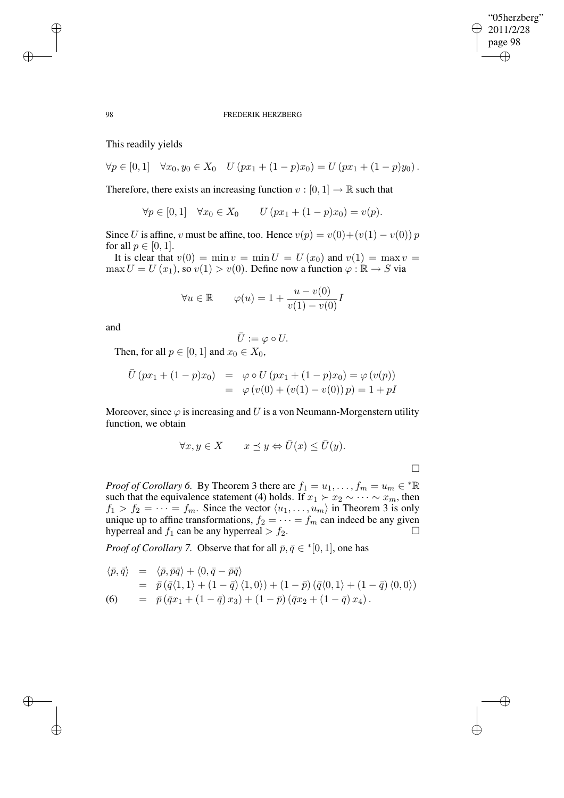✐

### 98 FREDERIK HERZBERG

This readily yields

$$
\forall p \in [0,1] \quad \forall x_0, y_0 \in X_0 \quad U\left(px_1 + (1-p)x_0\right) = U\left(px_1 + (1-p)y_0\right).
$$

Therefore, there exists an increasing function  $v : [0, 1] \rightarrow \mathbb{R}$  such that

 $\forall p \in [0, 1] \quad \forall x_0 \in X_0 \qquad U \left( px_1 + (1 - p)x_0 \right) = v(p).$ 

Since U is affine, v must be affine, too. Hence  $v(p) = v(0)+(v(1) - v(0)) p$ for all  $p \in [0, 1]$ .

It is clear that  $v(0) = \min v = \min U = U(x_0)$  and  $v(1) = \max v =$  $\max U = U(x_1)$ , so  $v(1) > v(0)$ . Define now a function  $\varphi : \mathbb{R} \to S$  via

$$
\forall u \in \mathbb{R} \qquad \varphi(u) = 1 + \frac{u - v(0)}{v(1) - v(0)}I
$$

and

$$
\bar{U}:=\varphi\circ U.
$$

Then, for all  $p \in [0, 1]$  and  $x_0 \in X_0$ ,

$$
\overline{U}(px_1 + (1-p)x_0) = \varphi \circ U(px_1 + (1-p)x_0) = \varphi(v(p)) \n= \varphi(v(0) + (v(1) - v(0)) p) = 1 + pI
$$

Moreover, since  $\varphi$  is increasing and U is a von Neumann-Morgenstern utility function, we obtain

$$
\forall x, y \in X \qquad x \preceq y \Leftrightarrow \bar{U}(x) \le \bar{U}(y).
$$

*Proof of Corollary 6.* By Theorem 3 there are  $f_1 = u_1, \ldots, f_m = u_m \in {^*}\mathbb{R}$ such that the equivalence statement (4) holds. If  $x_1 \succ x_2 \sim \cdots \sim x_m$ , then  $f_1 > f_2 = \cdots = f_m$ . Since the vector  $\langle u_1, \ldots, u_m \rangle$  in Theorem 3 is only unique up to affine transformations,  $f_2 = \cdots = f_m$  can indeed be any given hyperreal and  $f_1$  can be any hyperreal  $>f_2$ .

*Proof of Corollary* 7. Observe that for all  $\bar{p}, \bar{q} \in \{0, 1\}$ , one has

$$
\langle \bar{p}, \bar{q} \rangle = \langle \bar{p}, \bar{p}\bar{q} \rangle + \langle 0, \bar{q} - \bar{p}\bar{q} \rangle \n= \bar{p} (\bar{q} \langle 1, 1 \rangle + (1 - \bar{q}) \langle 1, 0 \rangle) + (1 - \bar{p}) (\bar{q} \langle 0, 1 \rangle + (1 - \bar{q}) \langle 0, 0 \rangle) \n(6) = \bar{p} (\bar{q}x_1 + (1 - \bar{q})x_3) + (1 - \bar{p}) (\bar{q}x_2 + (1 - \bar{q})x_4).
$$

✐

✐

✐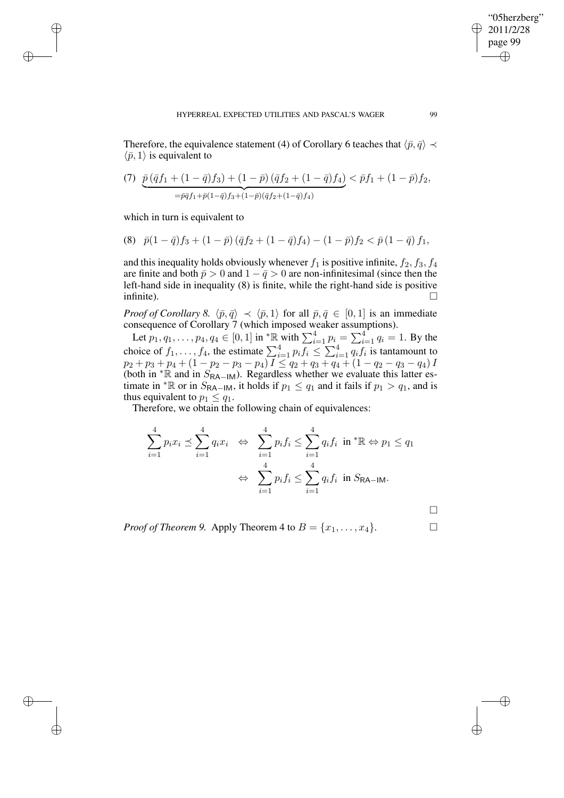Therefore, the equivalence statement (4) of Corollary 6 teaches that  $\langle \bar{p}, \bar{q} \rangle \prec$  $\langle \bar{p}, 1 \rangle$  is equivalent to

(7) 
$$
\overline{p}(\overline{q}f_1 + (1 - \overline{q})f_3) + (1 - \overline{p})(\overline{q}f_2 + (1 - \overline{q})f_4) < \overline{p}f_1 + (1 - \overline{p})f_2,
$$
  

$$
= \overline{p}\overline{q}f_1 + \overline{p}(1 - \overline{q})f_3 + (1 - \overline{p})(\overline{q}f_2 + (1 - \overline{q})f_4)
$$

which in turn is equivalent to

✐

✐

✐

✐

(8) 
$$
\bar{p}(1-\bar{q})f_3 + (1-\bar{p})(\bar{q}f_2 + (1-\bar{q})f_4) - (1-\bar{p})f_2 < \bar{p}(1-\bar{q})f_1,
$$

and this inequality holds obviously whenever  $f_1$  is positive infinite,  $f_2, f_3, f_4$ are finite and both  $\bar{p} > 0$  and  $1 - \bar{q} > 0$  are non-infinitesimal (since then the left-hand side in inequality (8) is finite, while the right-hand side is positive infinite).  $\Box$ 

*Proof of Corollary 8.*  $\langle \bar{p}, \bar{q} \rangle \prec \langle \bar{p}, 1 \rangle$  for all  $\bar{p}, \bar{q} \in [0, 1]$  is an immediate consequence of Corollary 7 (which imposed weaker assumptions).

Let  $p_1, q_1, \ldots, p_4, q_4 \in [0, 1]$  in  ${}^* \mathbb{R}$  with  $\sum_{i=1}^4 p_i = \sum_{i=1}^4 q_i = 1$ . By the choice of  $f_1, \ldots, f_4$ , the estimate  $\sum_{i=1}^4 p_i f_i \leq \sum_{i=1}^4 q_i f_i$  is tantamount to  $p_2+p_3+p_4+(1-p_2-p_3-p_4) I \leq q_2+q_3+q_4+(1-q_2-q_3-q_4) I$ (both in  $*$ R and in  $S_{RA-IM}$ ). Regardless whether we evaluate this latter estimate in <sup>\*</sup>R or in  $S_{\text{RA-IM}}$ , it holds if  $p_1 \leq q_1$  and it fails if  $p_1 > q_1$ , and is thus equivalent to  $p_1 \leq q_1$ .

Therefore, we obtain the following chain of equivalences:

$$
\sum_{i=1}^{4} p_i x_i \preceq \sum_{i=1}^{4} q_i x_i \Leftrightarrow \sum_{i=1}^{4} p_i f_i \le \sum_{i=1}^{4} q_i f_i \text{ in }^* \mathbb{R} \Leftrightarrow p_1 \le q_1
$$

$$
\Leftrightarrow \sum_{i=1}^{4} p_i f_i \le \sum_{i=1}^{4} q_i f_i \text{ in } S_{\mathsf{RA-IM}}.
$$

*Proof of Theorem 9.* Apply Theorem 4 to  $B = \{x_1, \ldots, x_4\}$ .

 $\Box$ 

✐

✐

"05herzberg" 2011/2/28 page 99

✐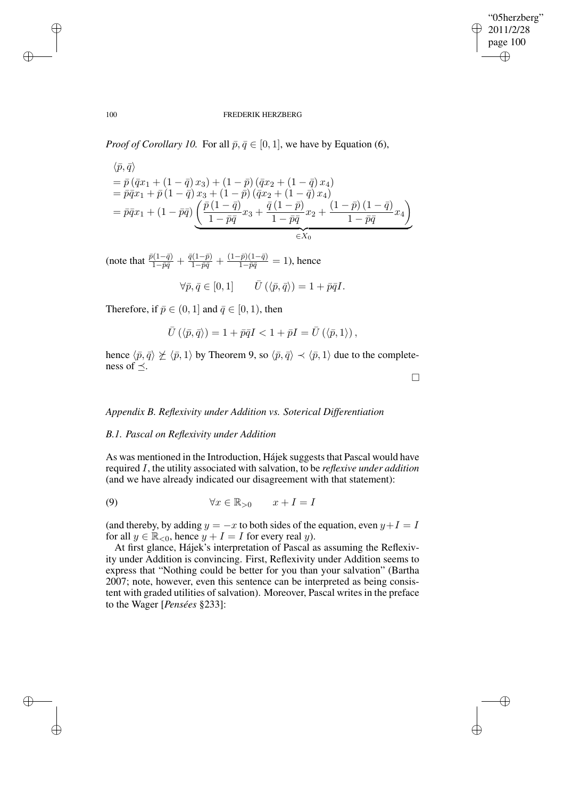✐

## 100 FREDERIK HERZBERG

*Proof of Corollary 10.* For all  $\bar{p}, \bar{q} \in [0, 1]$ , we have by Equation (6),

$$
\begin{aligned}\n\langle \bar{p}, \bar{q} \rangle \\
&= \bar{p} \left( \bar{q} x_1 + (1 - \bar{q}) x_3 \right) + (1 - \bar{p}) \left( \bar{q} x_2 + (1 - \bar{q}) x_4 \right) \\
&= \bar{p} \bar{q} x_1 + \bar{p} \left( 1 - \bar{q} \right) x_3 + (1 - \bar{p}) \left( \bar{q} x_2 + (1 - \bar{q}) x_4 \right) \\
&= \bar{p} \bar{q} x_1 + (1 - \bar{p} \bar{q}) \underbrace{\left( \frac{\bar{p} \left( 1 - \bar{q} \right)}{1 - \bar{p} \bar{q}} x_3 + \frac{\bar{q} \left( 1 - \bar{p} \right)}{1 - \bar{p} \bar{q}} x_2 + \frac{\left( 1 - \bar{p} \right) \left( 1 - \bar{q} \right)}{1 - \bar{p} \bar{q}} x_4 \right)}_{\in X_0}\n\end{aligned}
$$

(note that  $\frac{\bar{p}(1-\bar{q})}{1-\bar{p}\bar{q}} + \frac{\bar{q}(1-\bar{p})}{1-\bar{p}\bar{q}} + \frac{(1-\bar{p})(1-\bar{q})}{1-\bar{p}\bar{q}} = 1$ ), hence

$$
\forall \bar{p}, \bar{q} \in [0, 1] \qquad \bar{U}(\langle \bar{p}, \bar{q} \rangle) = 1 + \bar{p}\bar{q}I.
$$

Therefore, if  $\bar{p} \in (0, 1]$  and  $\bar{q} \in [0, 1)$ , then

✐

✐

✐

✐

$$
\bar{U}(\langle \bar{p}, \bar{q} \rangle) = 1 + \bar{p}\bar{q}I < 1 + \bar{p}I = \bar{U}(\langle \bar{p}, 1 \rangle),
$$

hence  $\langle \bar{p}, \bar{q} \rangle \not\geq \langle \bar{p}, 1 \rangle$  by Theorem 9, so  $\langle \bar{p}, \bar{q} \rangle \prec \langle \bar{p}, 1 \rangle$  due to the completeness of  $\prec$ .

 $\Box$ 

# *Appendix B. Reflexivity under Addition vs. Soterical Differentiation*

# *B.1. Pascal on Reflexivity under Addition*

As was mentioned in the Introduction, Hájek suggests that Pascal would have required I, the utility associated with salvation, to be *reflexive under addition* (and we have already indicated our disagreement with that statement):

$$
(9) \qquad \qquad \forall x \in \mathbb{R}_{>0} \qquad x + I = I
$$

(and thereby, by adding  $y = -x$  to both sides of the equation, even  $y + I = I$ for all  $y \in \mathbb{R}_{\leq 0}$ , hence  $y + I = I$  for every real y).

At first glance, Hájek's interpretation of Pascal as assuming the Reflexivity under Addition is convincing. First, Reflexivity under Addition seems to express that "Nothing could be better for you than your salvation" (Bartha 2007; note, however, even this sentence can be interpreted as being consistent with graded utilities of salvation). Moreover, Pascal writes in the preface to the Wager [*Pensées* §233]: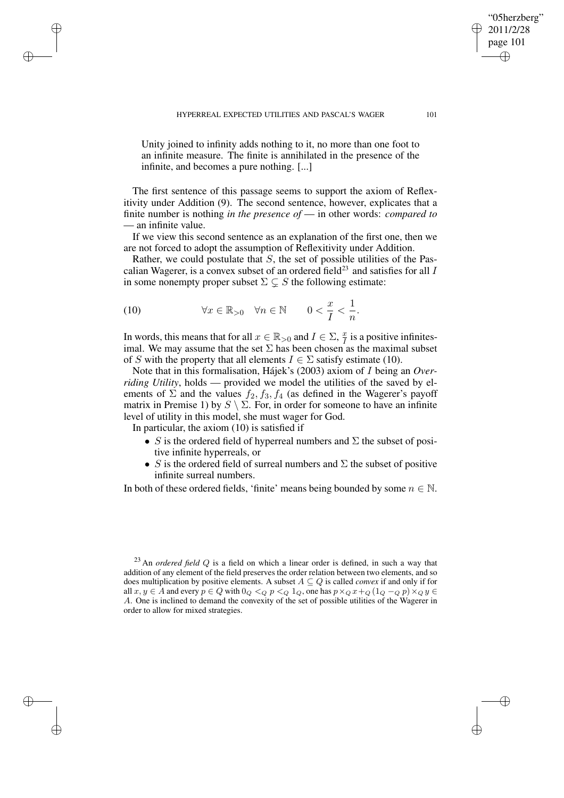"05herzberg" 2011/2/28 page 101

✐

✐

✐

Unity joined to infinity adds nothing to it, no more than one foot to an infinite measure. The finite is annihilated in the presence of the infinite, and becomes a pure nothing. [...]

The first sentence of this passage seems to support the axiom of Reflexitivity under Addition (9). The second sentence, however, explicates that a finite number is nothing *in the presence of* — in other words: *compared to* — an infinite value.

If we view this second sentence as an explanation of the first one, then we are not forced to adopt the assumption of Reflexitivity under Addition.

Rather, we could postulate that  $S$ , the set of possible utilities of the Pascalian Wagerer, is a convex subset of an ordered field<sup>23</sup> and satisfies for all  $I$ in some nonempty proper subset  $\Sigma \subsetneq S$  the following estimate:

(10) 
$$
\forall x \in \mathbb{R}_{>0} \quad \forall n \in \mathbb{N} \qquad 0 < \frac{x}{I} < \frac{1}{n}.
$$

✐

✐

✐

✐

In words, this means that for all  $x \in \mathbb{R}_{>0}$  and  $I \in \Sigma$ ,  $\frac{x}{I}$  $\frac{x}{I}$  is a positive infinitesimal. We may assume that the set  $\Sigma$  has been chosen as the maximal subset of S with the property that all elements  $I \in \Sigma$  satisfy estimate (10).

Note that in this formalisation, Hájek's (2003) axiom of I being an *Overriding Utility*, holds — provided we model the utilities of the saved by elements of  $\Sigma$  and the values  $f_2, f_3, f_4$  (as defined in the Wagerer's payoff matrix in Premise 1) by  $S \setminus \Sigma$ . For, in order for someone to have an infinite level of utility in this model, she must wager for God.

In particular, the axiom (10) is satisfied if

- S is the ordered field of hyperreal numbers and  $\Sigma$  the subset of positive infinite hyperreals, or
- S is the ordered field of surreal numbers and  $\Sigma$  the subset of positive infinite surreal numbers.

In both of these ordered fields, 'finite' means being bounded by some  $n \in \mathbb{N}$ .

<sup>23</sup> An *ordered field* Q is a field on which a linear order is defined, in such a way that addition of any element of the field preserves the order relation between two elements, and so does multiplication by positive elements. A subset  $A \subseteq Q$  is called *convex* if and only if for all  $x, y \in A$  and every  $p \in Q$  with  $0_Q \leq Q$   $p \leq Q$   $1_Q$ , one has  $p \times_Q x + Q$   $(1_Q - Q p) \times_Q y \in Q$ A. One is inclined to demand the convexity of the set of possible utilities of the Wagerer in order to allow for mixed strategies.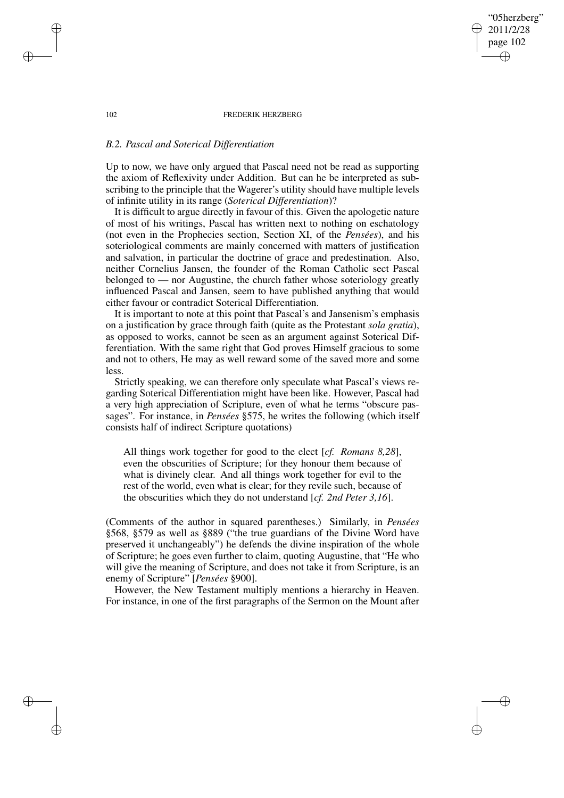102 FREDERIK HERZBERG

"05herzberg" 2011/2/28 page 102

✐

✐

✐

✐

# *B.2. Pascal and Soterical Differentiation*

Up to now, we have only argued that Pascal need not be read as supporting the axiom of Reflexivity under Addition. But can he be interpreted as subscribing to the principle that the Wagerer's utility should have multiple levels of infinite utility in its range (*Soterical Differentiation*)?

It is difficult to argue directly in favour of this. Given the apologetic nature of most of his writings, Pascal has written next to nothing on eschatology (not even in the Prophecies section, Section XI, of the *Pensées*), and his soteriological comments are mainly concerned with matters of justification and salvation, in particular the doctrine of grace and predestination. Also, neither Cornelius Jansen, the founder of the Roman Catholic sect Pascal belonged to — nor Augustine, the church father whose soteriology greatly influenced Pascal and Jansen, seem to have published anything that would either favour or contradict Soterical Differentiation.

It is important to note at this point that Pascal's and Jansenism's emphasis on a justification by grace through faith (quite as the Protestant *sola gratia*), as opposed to works, cannot be seen as an argument against Soterical Differentiation. With the same right that God proves Himself gracious to some and not to others, He may as well reward some of the saved more and some less.

Strictly speaking, we can therefore only speculate what Pascal's views regarding Soterical Differentiation might have been like. However, Pascal had a very high appreciation of Scripture, even of what he terms "obscure passages". For instance, in *Pensées* §575, he writes the following (which itself consists half of indirect Scripture quotations)

All things work together for good to the elect [*cf. Romans 8,28*], even the obscurities of Scripture; for they honour them because of what is divinely clear. And all things work together for evil to the rest of the world, even what is clear; for they revile such, because of the obscurities which they do not understand [*cf. 2nd Peter 3,16*].

(Comments of the author in squared parentheses.) Similarly, in *Pensées* §568, §579 as well as §889 ("the true guardians of the Divine Word have preserved it unchangeably") he defends the divine inspiration of the whole of Scripture; he goes even further to claim, quoting Augustine, that "He who will give the meaning of Scripture, and does not take it from Scripture, is an enemy of Scripture" [*Pensées* §900].

However, the New Testament multiply mentions a hierarchy in Heaven. For instance, in one of the first paragraphs of the Sermon on the Mount after

✐

✐

✐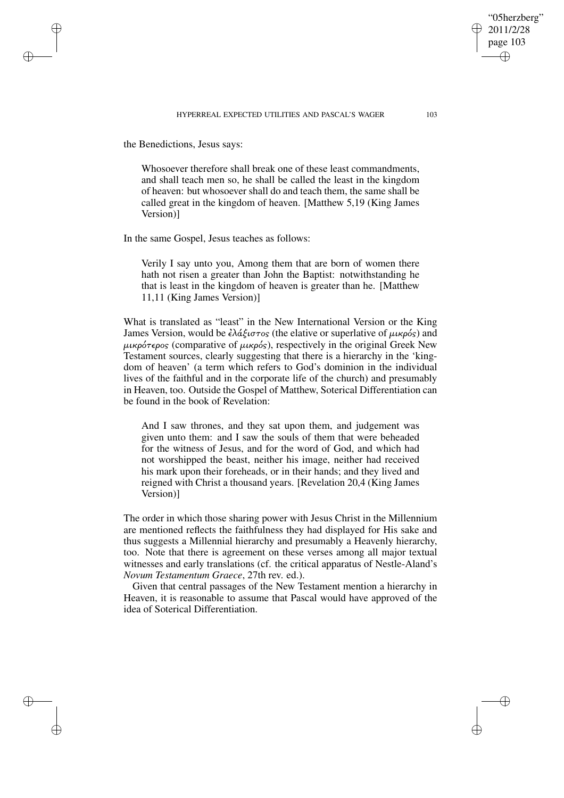## HYPERREAL EXPECTED UTILITIES AND PASCAL'S WAGER 103

the Benedictions, Jesus says:

✐

✐

✐

✐

Whosoever therefore shall break one of these least commandments, and shall teach men so, he shall be called the least in the kingdom of heaven: but whosoever shall do and teach them, the same shall be called great in the kingdom of heaven. [Matthew 5,19 (King James Version)]

In the same Gospel, Jesus teaches as follows:

Verily I say unto you, Among them that are born of women there hath not risen a greater than John the Baptist: notwithstanding he that is least in the kingdom of heaven is greater than he. [Matthew 11,11 (King James Version)]

What is translated as "least" in the New International Version or the King James Version, would be  $\epsilon \lambda \dot{\alpha} \xi \dot{\alpha} \tau_{\alpha\beta}$  (the elative or superlative of  $\mu \dot{\alpha}$ ) and  $\mu\nu\kappa\rho\acute{o}\tau\epsilon\rho\circ s$  (comparative of  $\mu\nu\kappa\rho\acute{o}s$ ), respectively in the original Greek New Testament sources, clearly suggesting that there is a hierarchy in the 'kingdom of heaven' (a term which refers to God's dominion in the individual lives of the faithful and in the corporate life of the church) and presumably in Heaven, too. Outside the Gospel of Matthew, Soterical Differentiation can be found in the book of Revelation:

And I saw thrones, and they sat upon them, and judgement was given unto them: and I saw the souls of them that were beheaded for the witness of Jesus, and for the word of God, and which had not worshipped the beast, neither his image, neither had received his mark upon their foreheads, or in their hands; and they lived and reigned with Christ a thousand years. [Revelation 20,4 (King James Version)]

The order in which those sharing power with Jesus Christ in the Millennium are mentioned reflects the faithfulness they had displayed for His sake and thus suggests a Millennial hierarchy and presumably a Heavenly hierarchy, too. Note that there is agreement on these verses among all major textual witnesses and early translations (cf. the critical apparatus of Nestle-Aland's *Novum Testamentum Graece*, 27th rev. ed.).

Given that central passages of the New Testament mention a hierarchy in Heaven, it is reasonable to assume that Pascal would have approved of the idea of Soterical Differentiation.

"05herzberg" 2011/2/28 page 103

✐

✐

✐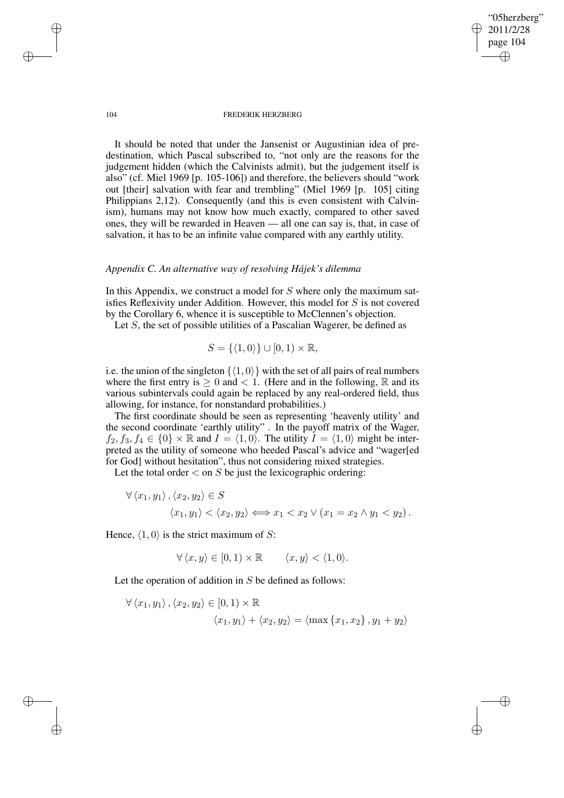"05herzberg" 2011/2/28 page 104 ✐ ✐

✐

✐

#### 104 FREDERIK HERZBERG

It should be noted that under the Jansenist or Augustinian idea of predestination, which Pascal subscribed to, "not only are the reasons for the judgement hidden (which the Calvinists admit), but the judgement itself is also" (cf. Miel 1969 [p. 105-106]) and therefore, the believers should "work out [their] salvation with fear and trembling" (Miel 1969 [p. 105] citing Philippians 2,12). Consequently (and this is even consistent with Calvinism), humans may not know how much exactly, compared to other saved ones, they will be rewarded in Heaven — all one can say is, that, in case of salvation, it has to be an infinite value compared with any earthly utility.

# *Appendix C. An alternative way of resolving Hájek's dilemma*

In this Appendix, we construct a model for  $S$  where only the maximum satisfies Reflexivity under Addition. However, this model for S is not covered by the Corollary 6, whence it is susceptible to McClennen's objection.

Let S, the set of possible utilities of a Pascalian Wagerer, be defined as

$$
S = \{ \langle 1, 0 \rangle \} \cup [0, 1) \times \mathbb{R},
$$

i.e. the union of the singleton  $\{(1, 0)\}$  with the set of all pairs of real numbers where the first entry is  $> 0$  and  $< 1$ . (Here and in the following, R and its various subintervals could again be replaced by any real-ordered field, thus allowing, for instance, for nonstandard probabilities.)

The first coordinate should be seen as representing 'heavenly utility' and the second coordinate 'earthly utility" . In the payoff matrix of the Wager,  $f_2, f_3, f_4 \in \{0\} \times \mathbb{R}$  and  $I = \langle 1, 0 \rangle$ . The utility  $I = \langle 1, 0 \rangle$  might be interpreted as the utility of someone who heeded Pascal's advice and "wager[ed for God] without hesitation", thus not considering mixed strategies.

Let the total order  $\lt$  on S be just the lexicographic ordering:

$$
\forall \langle x_1, y_1 \rangle, \langle x_2, y_2 \rangle \in S
$$

$$
\langle x_1, y_1 \rangle < \langle x_2, y_2 \rangle \Longleftrightarrow x_1 < x_2 \lor (x_1 = x_2 \land y_1 < y_2).
$$

Hence,  $\langle 1, 0 \rangle$  is the strict maximum of S:

$$
\forall \langle x, y \rangle \in [0, 1) \times \mathbb{R} \qquad \langle x, y \rangle < \langle 1, 0 \rangle.
$$

Let the operation of addition in  $S$  be defined as follows:

$$
\forall \langle x_1, y_1 \rangle, \langle x_2, y_2 \rangle \in [0, 1) \times \mathbb{R}
$$

$$
\langle x_1, y_1 \rangle + \langle x_2, y_2 \rangle = \langle \max \{x_1, x_2\}, y_1 + y_2 \rangle
$$

✐

✐

✐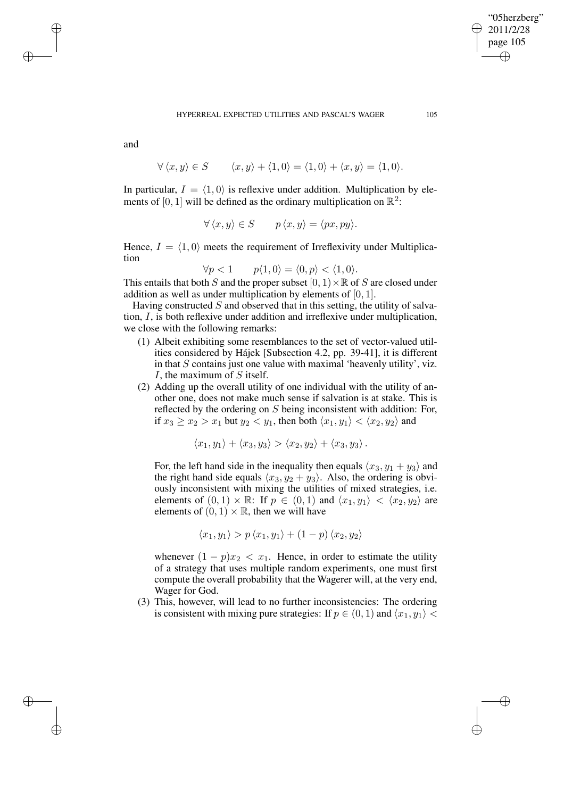✐

and

✐

✐

✐

✐

$$
\forall \langle x, y \rangle \in S \qquad \langle x, y \rangle + \langle 1, 0 \rangle = \langle 1, 0 \rangle + \langle x, y \rangle = \langle 1, 0 \rangle.
$$

In particular,  $I = \langle 1, 0 \rangle$  is reflexive under addition. Multiplication by elements of [0, 1] will be defined as the ordinary multiplication on  $\mathbb{R}^2$ :

$$
\forall \langle x, y \rangle \in S \qquad p \langle x, y \rangle = \langle px, py \rangle.
$$

Hence,  $I = \langle 1, 0 \rangle$  meets the requirement of Irreflexivity under Multiplication

$$
\forall p < 1 \qquad p \langle 1, 0 \rangle = \langle 0, p \rangle < \langle 1, 0 \rangle.
$$

This entails that both S and the proper subset  $[0, 1) \times \mathbb{R}$  of S are closed under addition as well as under multiplication by elements of [0, 1].

Having constructed  $S$  and observed that in this setting, the utility of salvation, I, is both reflexive under addition and irreflexive under multiplication, we close with the following remarks:

- (1) Albeit exhibiting some resemblances to the set of vector-valued utilities considered by Hájek [Subsection 4.2, pp. 39-41], it is different in that  $S$  contains just one value with maximal 'heavenly utility', viz. I, the maximum of S itself.
- (2) Adding up the overall utility of one individual with the utility of another one, does not make much sense if salvation is at stake. This is reflected by the ordering on S being inconsistent with addition: For, if  $x_3 \ge x_2 > x_1$  but  $y_2 < y_1$ , then both  $\langle x_1, y_1 \rangle < \langle x_2, y_2 \rangle$  and

$$
\langle x_1, y_1 \rangle + \langle x_3, y_3 \rangle > \langle x_2, y_2 \rangle + \langle x_3, y_3 \rangle.
$$

For, the left hand side in the inequality then equals  $\langle x_3, y_1 + y_3 \rangle$  and the right hand side equals  $\langle x_3, y_2 + y_3 \rangle$ . Also, the ordering is obviously inconsistent with mixing the utilities of mixed strategies, i.e. elements of  $(0, 1) \times \mathbb{R}$ : If  $p \in (0, 1)$  and  $\langle x_1, y_1 \rangle < \langle x_2, y_2 \rangle$  are elements of  $(0, 1) \times \mathbb{R}$ , then we will have

$$
\langle x_1, y_1 \rangle > p \langle x_1, y_1 \rangle + (1 - p) \langle x_2, y_2 \rangle
$$

whenever  $(1 - p)x_2 < x_1$ . Hence, in order to estimate the utility of a strategy that uses multiple random experiments, one must first compute the overall probability that the Wagerer will, at the very end, Wager for God.

(3) This, however, will lead to no further inconsistencies: The ordering is consistent with mixing pure strategies: If  $p \in (0, 1)$  and  $\langle x_1, y_1 \rangle$  <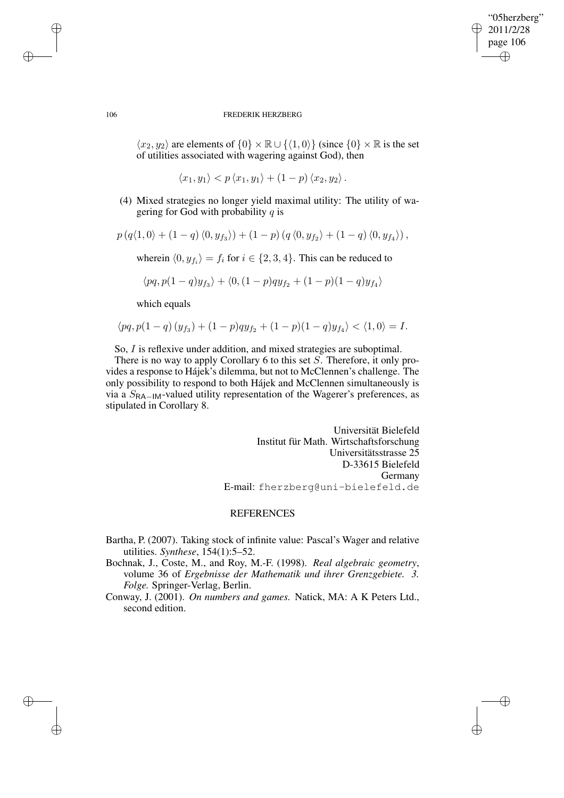✐

#### 106 FREDERIK HERZBERG

 $\langle x_2, y_2 \rangle$  are elements of  $\{0\} \times \mathbb{R} \cup \{\langle 1, 0 \rangle\}$  (since  $\{0\} \times \mathbb{R}$  is the set of utilities associated with wagering against God), then

$$
\langle x_1,y_1\rangle < p \langle x_1,y_1\rangle + (1-p) \langle x_2,y_2\rangle.
$$

(4) Mixed strategies no longer yield maximal utility: The utility of wagering for God with probability  $q$  is

$$
p (q \langle 1,0 \rangle + (1-q) \langle 0, y_{f_3} \rangle) + (1-p) (q \langle 0, y_{f_2} \rangle + (1-q) \langle 0, y_{f_4} \rangle),
$$

wherein  $\langle 0, y_{f_i} \rangle = f_i$  for  $i \in \{2, 3, 4\}$ . This can be reduced to

$$
\langle pq, p(1-q)y_{f_3}\rangle + \langle 0, (1-p)q y_{f_2} + (1-p)(1-q)y_{f_4}\rangle
$$

which equals

$$
\langle pq, p(1-q) (y_{f_3}) + (1-p)q y_{f_2} + (1-p)(1-q) y_{f_4} \rangle < \langle 1, 0 \rangle = I.
$$

So, I is reflexive under addition, and mixed strategies are suboptimal.

There is no way to apply Corollary 6 to this set S. Therefore, it only provides a response to Hájek's dilemma, but not to McClennen's challenge. The only possibility to respond to both Hájek and McClennen simultaneously is via a  $S_{\text{RA}-\text{IM}}$ -valued utility representation of the Wagerer's preferences, as stipulated in Corollary 8.

> Universität Bielefeld Institut für Math. Wirtschaftsforschung Universitätsstrasse 25 D-33615 Bielefeld Germany E-mail: fherzberg@uni-bielefeld.de

# **REFERENCES**

- Bartha, P. (2007). Taking stock of infinite value: Pascal's Wager and relative utilities. *Synthese*, 154(1):5–52.
- Bochnak, J., Coste, M., and Roy, M.-F. (1998). *Real algebraic geometry*, volume 36 of *Ergebnisse der Mathematik und ihrer Grenzgebiete. 3. Folge.* Springer-Verlag, Berlin.
- Conway, J. (2001). *On numbers and games.* Natick, MA: A K Peters Ltd., second edition.

✐

✐

✐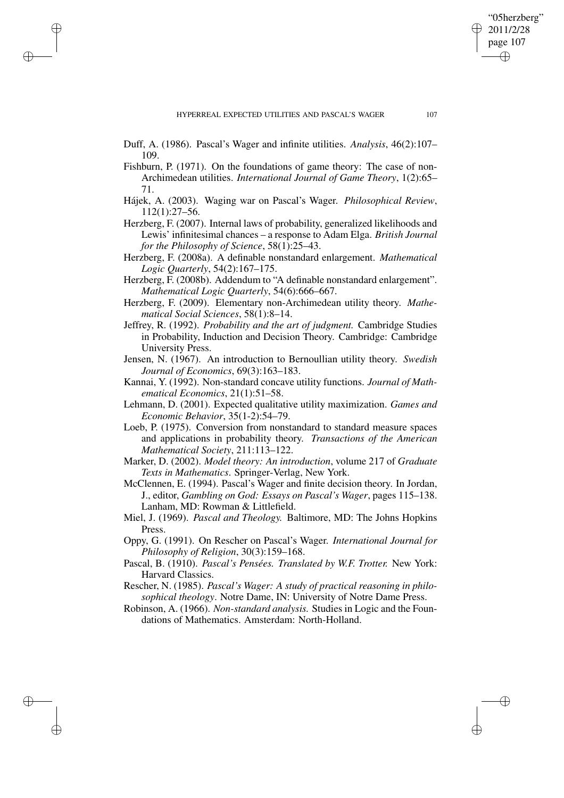✐

✐

✐

- Duff, A. (1986). Pascal's Wager and infinite utilities. *Analysis*, 46(2):107– 109.
- Fishburn, P. (1971). On the foundations of game theory: The case of non-Archimedean utilities. *International Journal of Game Theory*, 1(2):65– 71.
- Hájek, A. (2003). Waging war on Pascal's Wager. *Philosophical Review*, 112(1):27–56.
- Herzberg, F. (2007). Internal laws of probability, generalized likelihoods and Lewis' infinitesimal chances – a response to Adam Elga. *British Journal for the Philosophy of Science*, 58(1):25–43.
- Herzberg, F. (2008a). A definable nonstandard enlargement. *Mathematical Logic Quarterly*, 54(2):167–175.
- Herzberg, F. (2008b). Addendum to "A definable nonstandard enlargement". *Mathematical Logic Quarterly*, 54(6):666–667.
- Herzberg, F. (2009). Elementary non-Archimedean utility theory. *Mathematical Social Sciences*, 58(1):8–14.
- Jeffrey, R. (1992). *Probability and the art of judgment.* Cambridge Studies in Probability, Induction and Decision Theory. Cambridge: Cambridge University Press.
- Jensen, N. (1967). An introduction to Bernoullian utility theory. *Swedish Journal of Economics*, 69(3):163–183.
- Kannai, Y. (1992). Non-standard concave utility functions. *Journal of Mathematical Economics*, 21(1):51–58.
- Lehmann, D. (2001). Expected qualitative utility maximization. *Games and Economic Behavior*, 35(1-2):54–79.
- Loeb, P. (1975). Conversion from nonstandard to standard measure spaces and applications in probability theory. *Transactions of the American Mathematical Society*, 211:113–122.
- Marker, D. (2002). *Model theory: An introduction*, volume 217 of *Graduate Texts in Mathematics*. Springer-Verlag, New York.
- McClennen, E. (1994). Pascal's Wager and finite decision theory. In Jordan, J., editor, *Gambling on God: Essays on Pascal's Wager*, pages 115–138. Lanham, MD: Rowman & Littlefield.
- Miel, J. (1969). *Pascal and Theology.* Baltimore, MD: The Johns Hopkins Press.
- Oppy, G. (1991). On Rescher on Pascal's Wager. *International Journal for Philosophy of Religion*, 30(3):159–168.
- Pascal, B. (1910). *Pascal's Pensées. Translated by W.F. Trotter.* New York: Harvard Classics.
- Rescher, N. (1985). *Pascal's Wager: A study of practical reasoning in philosophical theology*. Notre Dame, IN: University of Notre Dame Press.
- Robinson, A. (1966). *Non-standard analysis.* Studies in Logic and the Foundations of Mathematics. Amsterdam: North-Holland.

"05herzberg" 2011/2/28 page 107

✐

✐

✐